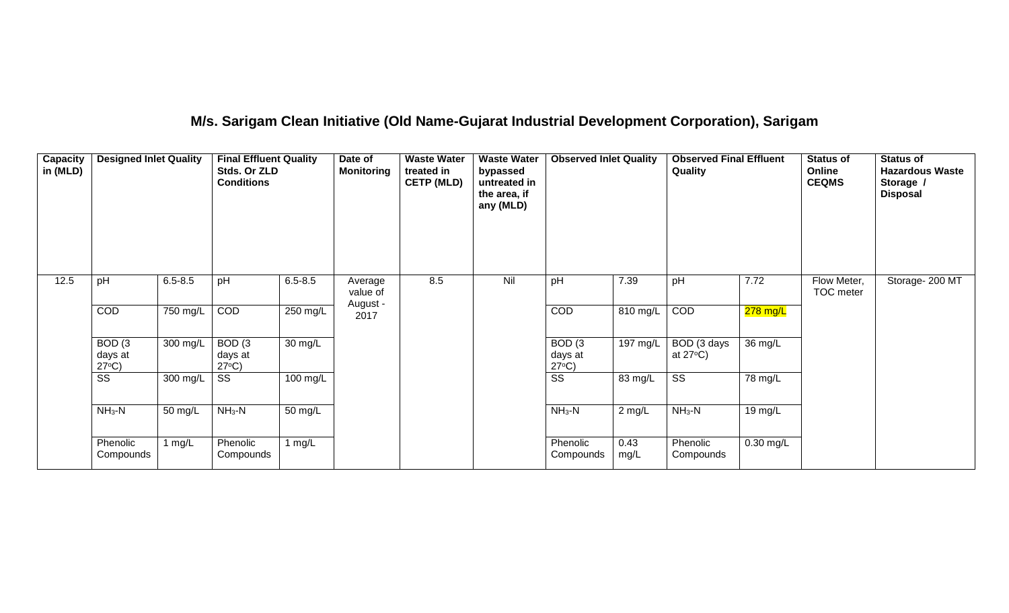# **M/s. Sarigam Clean Initiative (Old Name-Gujarat Industrial Development Corporation), Sarigam**

| Capacity<br>in (MLD) | <b>Designed Inlet Quality</b>                   |             | <b>Final Effluent Quality</b><br>Stds. Or ZLD<br><b>Conditions</b> |             | Date of<br><b>Monitoring</b> | <b>Waste Water</b><br>treated in<br><b>CETP (MLD)</b> | <b>Waste Water</b><br>bypassed<br>untreated in<br>the area, if<br>any (MLD) | <b>Observed Inlet Quality</b>                   |              | <b>Observed Final Effluent</b><br>Quality |             | <b>Status of</b><br>Online<br><b>CEQMS</b> | <b>Status of</b><br><b>Hazardous Waste</b><br>Storage /<br><b>Disposal</b> |
|----------------------|-------------------------------------------------|-------------|--------------------------------------------------------------------|-------------|------------------------------|-------------------------------------------------------|-----------------------------------------------------------------------------|-------------------------------------------------|--------------|-------------------------------------------|-------------|--------------------------------------------|----------------------------------------------------------------------------|
| 12.5                 | pH                                              | $6.5 - 8.5$ | pH                                                                 | $6.5 - 8.5$ | Average<br>value of          | 8.5                                                   | Nil                                                                         | pH                                              | 7.39         | pH                                        | 7.72        | Flow Meter,<br>TOC meter                   | Storage- 200 MT                                                            |
|                      | COD                                             | 750 mg/L    | COD                                                                | $250$ mg/L  | August -<br>2017             |                                                       |                                                                             | COD                                             | 810 mg/L     | COD                                       | 278 mg/L    |                                            |                                                                            |
|                      | BOD <sub>(3</sub><br>days at<br>$27^{\circ}C$ ) | 300 mg/L    | BOD <sub>(3</sub><br>days at<br>$27^{\circ}C$ )                    | 30 mg/L     |                              |                                                       |                                                                             | BOD <sub>(3</sub><br>days at<br>$27^{\circ}C$ ) | 197 mg/L     | BOD (3 days<br>at $27^{\circ}$ C)         | 36 mg/L     |                                            |                                                                            |
|                      | $\overline{\text{ss}}$                          | 300 mg/L    | SS                                                                 | 100 mg/L    |                              |                                                       |                                                                             | $\overline{\text{SS}}$                          | 83 mg/L      | $\overline{\text{SS}}$                    | 78 mg/L     |                                            |                                                                            |
|                      | $NH3-N$                                         | 50 mg/L     | $NH3-N$                                                            | 50 mg/L     |                              |                                                       |                                                                             | $NH3-N$                                         | $2$ mg/L     | $NH3-N$                                   | 19 mg/L     |                                            |                                                                            |
|                      | Phenolic<br>Compounds                           | 1 $mg/L$    | Phenolic<br>Compounds                                              | 1 $mg/L$    |                              |                                                       |                                                                             | Phenolic<br>Compounds                           | 0.43<br>mg/L | Phenolic<br>Compounds                     | $0.30$ mg/L |                                            |                                                                            |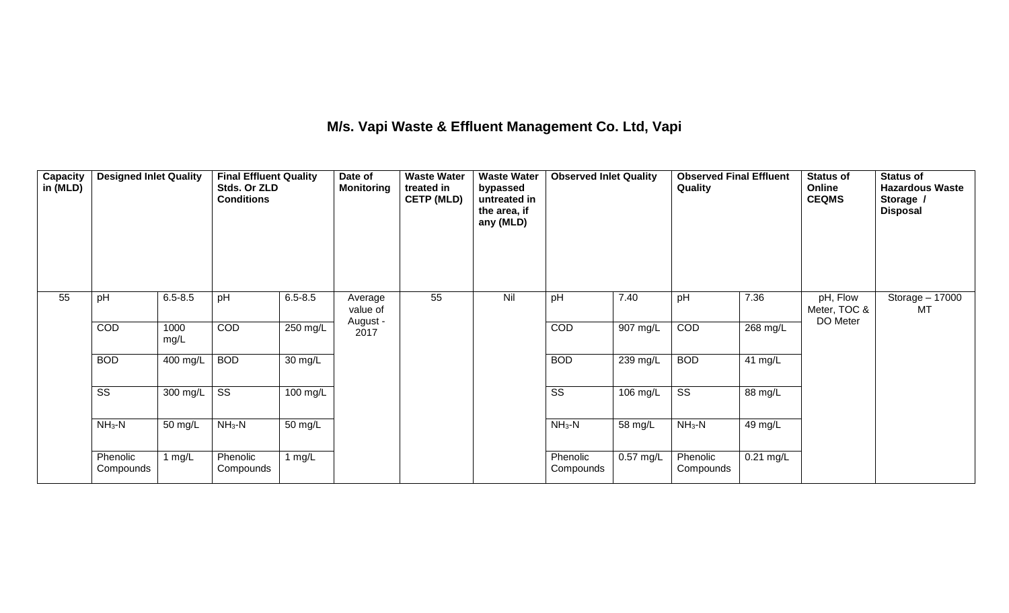## **M/s. Vapi Waste & Effluent Management Co. Ltd, Vapi**

| Capacity<br>in (MLD) | <b>Designed Inlet Quality</b> |              | <b>Final Effluent Quality</b><br>Stds. Or ZLD<br><b>Conditions</b> |                   | Date of<br><b>Monitoring</b> | <b>Waste Water</b><br>treated in<br><b>CETP (MLD)</b> | <b>Waste Water</b><br>bypassed<br>untreated in<br>the area, if<br>any (MLD) | <b>Observed Inlet Quality</b> |                       | <b>Observed Final Effluent</b><br>Quality |             | <b>Status of</b><br>Online<br><b>CEQMS</b> | <b>Status of</b><br><b>Hazardous Waste</b><br>Storage /<br><b>Disposal</b> |
|----------------------|-------------------------------|--------------|--------------------------------------------------------------------|-------------------|------------------------------|-------------------------------------------------------|-----------------------------------------------------------------------------|-------------------------------|-----------------------|-------------------------------------------|-------------|--------------------------------------------|----------------------------------------------------------------------------|
| 55                   | pH                            | $6.5 - 8.5$  | pH                                                                 | $6.5 - 8.5$       | Average<br>value of          | 55                                                    | Nil                                                                         | pH                            | 7.40                  | pH                                        | 7.36        | pH, Flow<br>Meter, TOC &<br>DO Meter       | Storage - 17000<br>MT                                                      |
|                      | COD                           | 1000<br>mg/L | COD                                                                | 250 mg/L          | August -<br>2017             |                                                       |                                                                             | COD                           | $\overline{907}$ mg/L | COD                                       | $268$ mg/L  |                                            |                                                                            |
|                      | <b>BOD</b>                    | 400 mg/L     | <b>BOD</b>                                                         | $30 \text{ mg/L}$ |                              |                                                       |                                                                             | <b>BOD</b>                    | 239 mg/L              | <b>BOD</b>                                | 41 mg/L     |                                            |                                                                            |
|                      | $\overline{\text{ss}}$        | 300 mg/L     | $\overline{\text{ss}}$                                             | 100 mg/L          |                              |                                                       |                                                                             | $\overline{\text{ss}}$        | 106 mg/L              | $\overline{\text{ss}}$                    | 88 mg/L     |                                            |                                                                            |
|                      | $NH3-N$                       | 50 mg/L      | $NH_3-N$                                                           | 50 mg/L           |                              |                                                       |                                                                             | $NH_3-N$                      | 58 mg/L               | $NH_3-N$                                  | 49 mg/L     |                                            |                                                                            |
|                      | Phenolic<br>Compounds         | 1 $mg/L$     | Phenolic<br>Compounds                                              | 1 $mg/L$          |                              |                                                       |                                                                             | Phenolic<br>Compounds         | 0.57 mg/L             | Phenolic<br>Compounds                     | $0.21$ mg/L |                                            |                                                                            |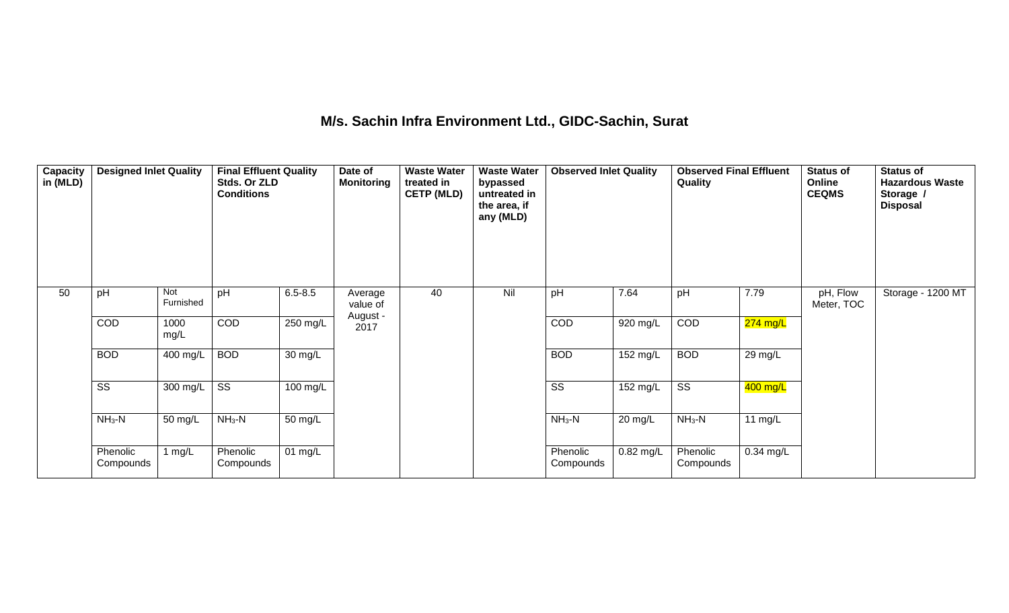## **M/s. Sachin Infra Environment Ltd., GIDC-Sachin, Surat**

| Capacity<br>in (MLD) | <b>Designed Inlet Quality</b> |                  | <b>Final Effluent Quality</b><br>Stds. Or ZLD<br><b>Conditions</b> |             | Date of<br><b>Monitoring</b> | <b>Waste Water</b><br>treated in<br><b>CETP (MLD)</b> | <b>Waste Water</b><br>bypassed<br>untreated in<br>the area, if<br>any (MLD) | <b>Observed Inlet Quality</b> |                    | <b>Observed Final Effluent</b><br>Quality |             | <b>Status of</b><br>Online<br><b>CEQMS</b> | <b>Status of</b><br><b>Hazardous Waste</b><br>Storage /<br><b>Disposal</b> |
|----------------------|-------------------------------|------------------|--------------------------------------------------------------------|-------------|------------------------------|-------------------------------------------------------|-----------------------------------------------------------------------------|-------------------------------|--------------------|-------------------------------------------|-------------|--------------------------------------------|----------------------------------------------------------------------------|
| 50                   | pH                            | Not<br>Furnished | pH                                                                 | $6.5 - 8.5$ | Average<br>value of          | 40                                                    | Nil                                                                         | pH                            | 7.64               | pH                                        | 7.79        | pH, Flow<br>Meter, TOC                     | Storage - 1200 MT                                                          |
|                      | COD                           | 1000<br>mg/L     | COD                                                                | 250 mg/L    | August -<br>2017             |                                                       |                                                                             | COD                           | 920 mg/L           | COD                                       | 274 mg/L    |                                            |                                                                            |
|                      | <b>BOD</b>                    | 400 mg/L         | <b>BOD</b>                                                         | 30 mg/L     |                              |                                                       |                                                                             | <b>BOD</b>                    | $152$ mg/L         | <b>BOD</b>                                | 29 mg/L     |                                            |                                                                            |
|                      | $\overline{\text{SS}}$        | 300 mg/L         | $\overline{\text{ss}}$                                             | 100 mg/L    |                              |                                                       |                                                                             | $\overline{\text{ss}}$        | $152 \text{ mg/L}$ | $\overline{\text{ss}}$                    | 400 mg/L    |                                            |                                                                            |
|                      | $NH3-N$                       | 50 mg/L          | $NH3-N$                                                            | 50 mg/L     |                              |                                                       |                                                                             | $NH_3-N$                      | $20 \text{ mg/L}$  | $NH3-N$                                   | 11 $mg/L$   |                                            |                                                                            |
|                      | Phenolic<br>Compounds         | 1 $mg/L$         | Phenolic<br>Compounds                                              | 01 mg/L     |                              |                                                       |                                                                             | Phenolic<br>Compounds         | 0.82 mg/L          | Phenolic<br>Compounds                     | $0.34$ mg/L |                                            |                                                                            |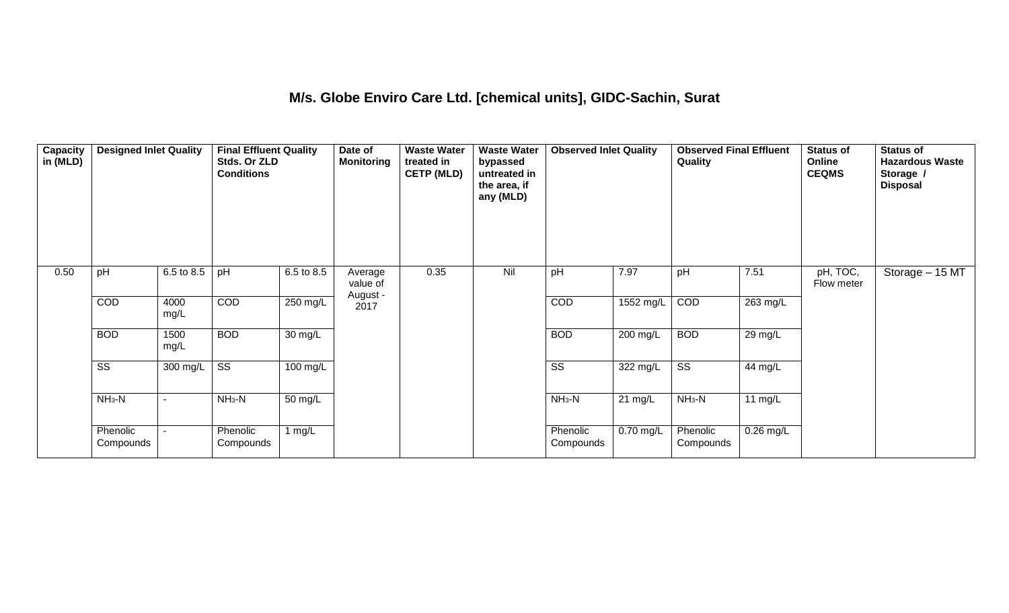#### **M/s. Globe Enviro Care Ltd. [chemical units], GIDC-Sachin, Surat**

| Capacity<br>in (MLD) | <b>Designed Inlet Quality</b> |              | <b>Final Effluent Quality</b><br>Stds. Or ZLD<br><b>Conditions</b> |                    | Date of<br>Monitoring | <b>Waste Water</b><br>treated in<br><b>CETP (MLD)</b> | <b>Waste Water</b><br>bypassed<br>untreated in<br>the area, if<br>any (MLD) | <b>Observed Inlet Quality</b> |             | <b>Observed Final Effluent</b><br>Quality |             | <b>Status of</b><br>Online<br><b>CEQMS</b> | <b>Status of</b><br><b>Hazardous Waste</b><br>Storage /<br><b>Disposal</b> |
|----------------------|-------------------------------|--------------|--------------------------------------------------------------------|--------------------|-----------------------|-------------------------------------------------------|-----------------------------------------------------------------------------|-------------------------------|-------------|-------------------------------------------|-------------|--------------------------------------------|----------------------------------------------------------------------------|
| 0.50                 | pH                            | 6.5 to 8.5   | pH                                                                 | 6.5 to 8.5         | Average<br>value of   | 0.35                                                  | Nil                                                                         | pH                            | 7.97        | pH                                        | 7.51        | pH, TOC,<br>Flow meter                     | Storage - 15 MT                                                            |
|                      | COD                           | 4000<br>mg/L | COD                                                                | 250 mg/L           | August -<br>2017      |                                                       |                                                                             | COD                           | 1552 mg/L   | COD                                       | 263 mg/L    |                                            |                                                                            |
|                      | <b>BOD</b>                    | 1500<br>mg/L | <b>BOD</b>                                                         | 30 mg/L            |                       |                                                       |                                                                             | <b>BOD</b>                    | 200 mg/L    | <b>BOD</b>                                | 29 mg/L     |                                            |                                                                            |
|                      | $\overline{\text{ss}}$        | 300 mg/L     | $\overline{\text{ss}}$                                             | $100 \text{ mg/L}$ |                       |                                                       |                                                                             | $\overline{\text{ss}}$        | 322 mg/L    | $\overline{\text{ss}}$                    | 44 mg/L     |                                            |                                                                            |
|                      | $NH3-N$                       |              | $NH3-N$                                                            | 50 mg/L            |                       |                                                       |                                                                             | $NH3-N$                       | 21 mg/L     | $NH3-N$                                   | 11 $mg/L$   |                                            |                                                                            |
|                      | Phenolic<br>Compounds         |              | Phenolic<br>Compounds                                              | 1 $mg/L$           |                       |                                                       |                                                                             | Phenolic<br>Compounds         | $0.70$ mg/L | Phenolic<br>Compounds                     | $0.26$ mg/L |                                            |                                                                            |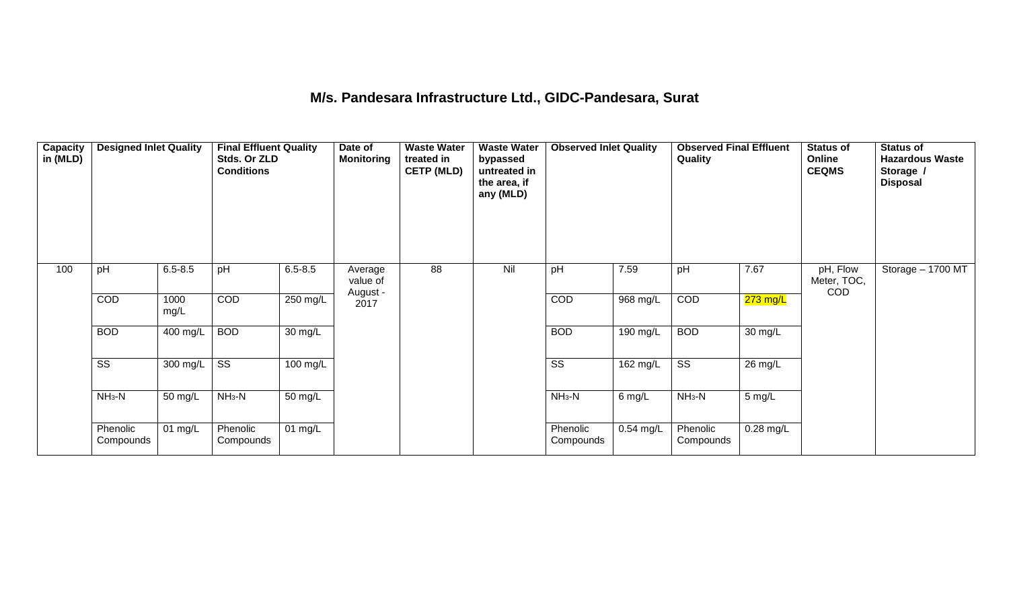# **M/s. Pandesara Infrastructure Ltd., GIDC-Pandesara, Surat**

| Capacity<br>in (MLD) | <b>Designed Inlet Quality</b> |              | <b>Final Effluent Quality</b><br>Stds. Or ZLD<br><b>Conditions</b> |                      | Date of<br><b>Monitoring</b> | <b>Waste Water</b><br>treated in<br><b>CETP (MLD)</b> | <b>Waste Water</b><br>bypassed<br>untreated in<br>the area, if<br>any (MLD) | <b>Observed Inlet Quality</b> |             | <b>Observed Final Effluent</b><br>Quality |                   | <b>Status of</b><br>Online<br><b>CEQMS</b> | <b>Status of</b><br><b>Hazardous Waste</b><br>Storage /<br><b>Disposal</b> |
|----------------------|-------------------------------|--------------|--------------------------------------------------------------------|----------------------|------------------------------|-------------------------------------------------------|-----------------------------------------------------------------------------|-------------------------------|-------------|-------------------------------------------|-------------------|--------------------------------------------|----------------------------------------------------------------------------|
| 100                  | pH                            | $6.5 - 8.5$  | pH                                                                 | $6.5 - 8.5$          | Average<br>value of          | 88                                                    | Nil                                                                         | pH                            | 7.59        | pH                                        | 7.67              | pH, Flow<br>Meter, TOC,<br><b>COD</b>      | Storage - 1700 MT                                                          |
|                      | COD                           | 1000<br>mg/L | COD                                                                | $250$ mg/L           | August -<br>2017             |                                                       |                                                                             | COD                           | 968 mg/L    | COD                                       | $273$ mg/L        |                                            |                                                                            |
|                      | <b>BOD</b>                    | 400 mg/L     | <b>BOD</b>                                                         | 30 mg/L              |                              |                                                       |                                                                             | <b>BOD</b>                    | 190 mg/L    | <b>BOD</b>                                | $30 \text{ mg/L}$ |                                            |                                                                            |
|                      | $\overline{\text{SS}}$        | 300 mg/L     | $\overline{\text{ss}}$                                             | 100 mg/L             |                              |                                                       |                                                                             | $\overline{\text{ss}}$        | 162 mg/L    | $\overline{\text{ss}}$                    | 26 mg/L           |                                            |                                                                            |
|                      | $NH3-N$                       | 50 mg/L      | $NH3-N$                                                            | $\overline{50}$ mg/L |                              |                                                       |                                                                             | $NH_3-N$                      | 6 mg/L      | $NH3-N$                                   | 5 mg/L            |                                            |                                                                            |
|                      | Phenolic<br>Compounds         | 01 mg/L      | Phenolic<br>Compounds                                              | 01 mg/L              |                              |                                                       |                                                                             | Phenolic<br>Compounds         | $0.54$ mg/L | Phenolic<br>Compounds                     | $0.28$ mg/L       |                                            |                                                                            |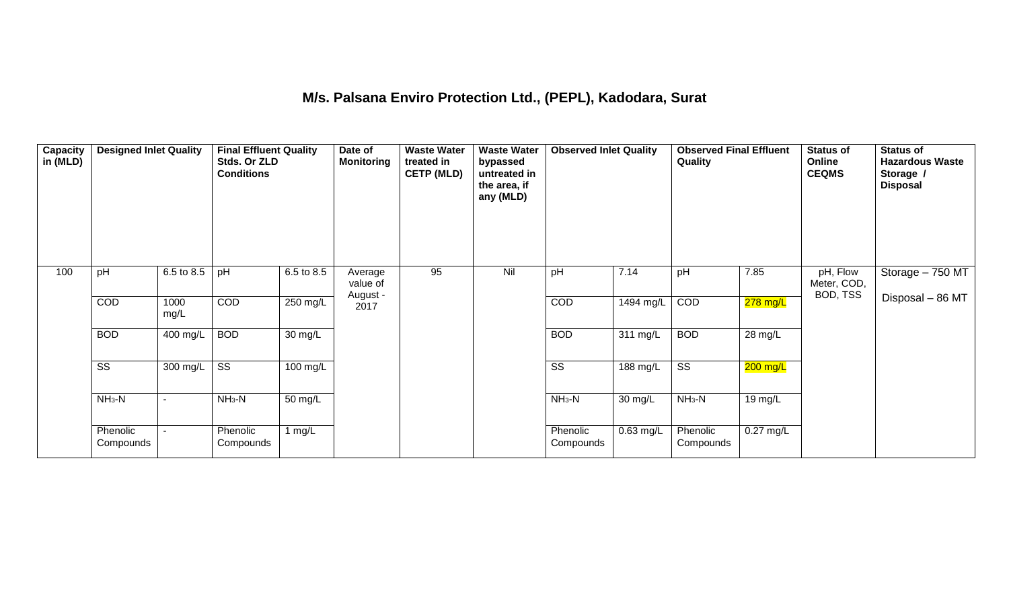## **M/s. Palsana Enviro Protection Ltd., (PEPL), Kadodara, Surat**

| Capacity<br>in (MLD) | <b>Designed Inlet Quality</b> |              | <b>Final Effluent Quality</b><br>Stds. Or ZLD<br><b>Conditions</b> |            | Date of<br><b>Monitoring</b> | <b>Waste Water</b><br>treated in<br><b>CETP (MLD)</b> | <b>Waste Water</b><br>bypassed<br>untreated in<br>the area, if<br>any (MLD) | <b>Observed Inlet Quality</b> |                     | <b>Observed Final Effluent</b><br>Quality |             | <b>Status of</b><br>Online<br><b>CEQMS</b> | <b>Status of</b><br><b>Hazardous Waste</b><br>Storage /<br><b>Disposal</b> |
|----------------------|-------------------------------|--------------|--------------------------------------------------------------------|------------|------------------------------|-------------------------------------------------------|-----------------------------------------------------------------------------|-------------------------------|---------------------|-------------------------------------------|-------------|--------------------------------------------|----------------------------------------------------------------------------|
| 100                  | pH                            | 6.5 to 8.5   | pH                                                                 | 6.5 to 8.5 | Average<br>value of          | 95                                                    | Nil                                                                         | pH                            | 7.14                | pH                                        | 7.85        | pH, Flow<br>Meter, COD,<br>BOD, TSS        | Storage - 750 MT                                                           |
|                      | COD                           | 1000<br>mg/L | COD                                                                | 250 mg/L   | August -<br>2017             |                                                       |                                                                             | COD                           | $1494 \text{ mg/L}$ | COD                                       | $278$ mg/L  |                                            | Disposal - 86 MT                                                           |
|                      | <b>BOD</b>                    | 400 mg/L     | <b>BOD</b>                                                         | 30 mg/L    |                              |                                                       |                                                                             | <b>BOD</b>                    | 311 mg/L            | <b>BOD</b>                                | 28 mg/L     |                                            |                                                                            |
|                      | $\overline{\text{ss}}$        | 300 mg/L     | $\overline{\text{ss}}$                                             | $100$ mg/L |                              |                                                       |                                                                             | $\overline{\text{ss}}$        | 188 mg/L            | $\overline{\text{ss}}$                    | $200$ mg/L  |                                            |                                                                            |
|                      | $NH3-N$                       |              | $NH3-N$                                                            | 50 mg/L    |                              |                                                       |                                                                             | $NH3-N$                       | 30 mg/L             | $NH3-N$                                   | 19 mg/L     |                                            |                                                                            |
|                      | Phenolic<br>Compounds         |              | Phenolic<br>Compounds                                              | 1 $mg/L$   |                              |                                                       |                                                                             | Phenolic<br>Compounds         | 0.63 mg/L           | Phenolic<br>Compounds                     | $0.27$ mg/L |                                            |                                                                            |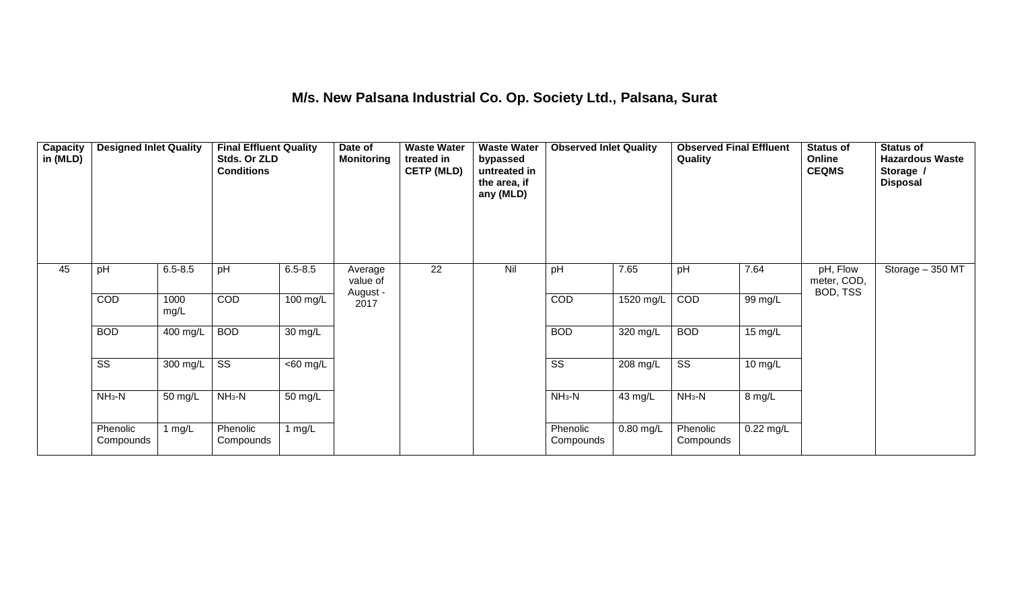## **M/s. New Palsana Industrial Co. Op. Society Ltd., Palsana, Surat**

| Capacity<br>in (MLD) | <b>Designed Inlet Quality</b> |              | <b>Final Effluent Quality</b><br>Stds. Or ZLD<br><b>Conditions</b> |                       | Date of<br><b>Monitoring</b> | <b>Waste Water</b><br>treated in<br><b>CETP (MLD)</b> | <b>Waste Water</b><br>bypassed<br>untreated in<br>the area, if<br>any (MLD) | <b>Observed Inlet Quality</b> |             | <b>Observed Final Effluent</b><br>Quality |           | <b>Status of</b><br>Online<br><b>CEQMS</b> | <b>Status of</b><br><b>Hazardous Waste</b><br>Storage /<br><b>Disposal</b> |
|----------------------|-------------------------------|--------------|--------------------------------------------------------------------|-----------------------|------------------------------|-------------------------------------------------------|-----------------------------------------------------------------------------|-------------------------------|-------------|-------------------------------------------|-----------|--------------------------------------------|----------------------------------------------------------------------------|
| 45                   | pH                            | $6.5 - 8.5$  | pH                                                                 | $6.5 - 8.5$           | Average<br>value of          | 22                                                    | Nil                                                                         | pH                            | 7.65        | pH                                        | 7.64      | pH, Flow<br>meter, COD,<br>BOD, TSS        | Storage - 350 MT                                                           |
|                      | COD                           | 1000<br>mg/L | COD                                                                | 100 mg/L              | August -<br>2017             |                                                       |                                                                             | COD                           | 1520 mg/L   | COD                                       | 99 mg/L   |                                            |                                                                            |
|                      | <b>BOD</b>                    | 400 mg/L     | <b>BOD</b>                                                         | 30 mg/L               |                              |                                                       |                                                                             | <b>BOD</b>                    | 320 mg/L    | <b>BOD</b>                                | 15 mg/L   |                                            |                                                                            |
|                      | $\overline{\text{SS}}$        | 300 mg/L     | $\overline{\text{ss}}$                                             | $\overline{<}60$ mg/L |                              |                                                       |                                                                             | $\overline{\text{SS}}$        | 208 mg/L    | $\overline{\text{ss}}$                    | 10 mg/L   |                                            |                                                                            |
|                      | $NH3-N$                       | 50 mg/L      | $NH3-N$                                                            | 50 mg/L               |                              |                                                       |                                                                             | $NH3-N$                       | 43 mg/L     | $NH3-N$                                   | 8 mg/L    |                                            |                                                                            |
|                      | Phenolic<br>Compounds         | 1 $mg/L$     | Phenolic<br>Compounds                                              | 1 $mg/L$              |                              |                                                       |                                                                             | Phenolic<br>Compounds         | $0.80$ mg/L | Phenolic<br>Compounds                     | 0.22 mg/L |                                            |                                                                            |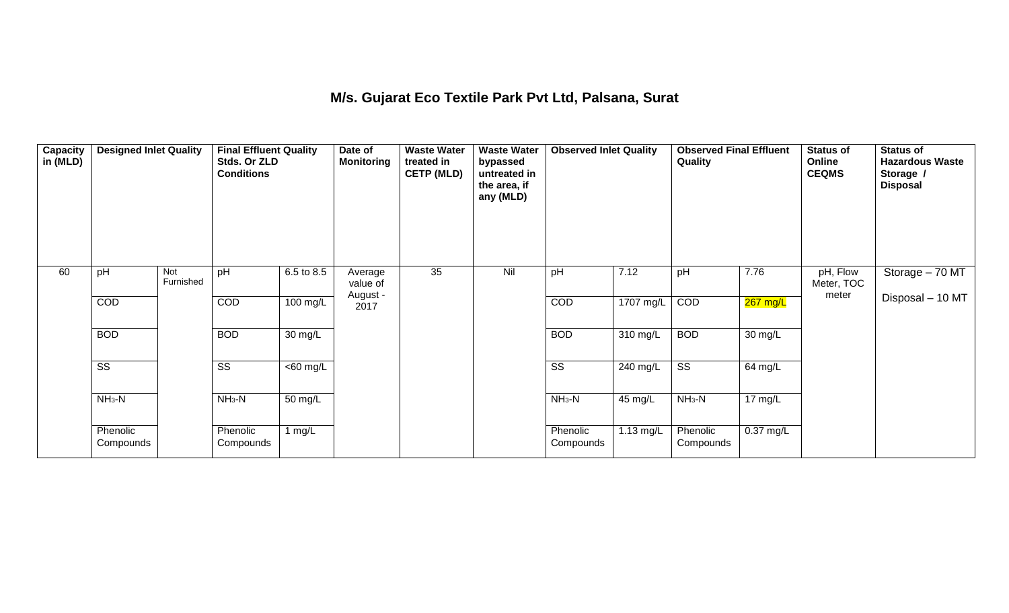#### **M/s. Gujarat Eco Textile Park Pvt Ltd, Palsana, Surat**

| Capacity<br>in (MLD) | <b>Designed Inlet Quality</b> |                  | <b>Final Effluent Quality</b><br>Stds. Or ZLD<br><b>Conditions</b> |                      | Date of<br><b>Monitoring</b> | <b>Waste Water</b><br>treated in<br><b>CETP (MLD)</b> | <b>Waste Water</b><br>bypassed<br>untreated in<br>the area, if<br>any (MLD) | <b>Observed Inlet Quality</b> |           | <b>Observed Final Effluent</b><br>Quality |           | <b>Status of</b><br>Online<br><b>CEQMS</b> | <b>Status of</b><br><b>Hazardous Waste</b><br>Storage /<br><b>Disposal</b> |
|----------------------|-------------------------------|------------------|--------------------------------------------------------------------|----------------------|------------------------------|-------------------------------------------------------|-----------------------------------------------------------------------------|-------------------------------|-----------|-------------------------------------------|-----------|--------------------------------------------|----------------------------------------------------------------------------|
| 60                   | pH                            | Not<br>Furnished | pH                                                                 | 6.5 to 8.5           | Average<br>value of          | 35                                                    | Nil                                                                         | pH                            | 7.12      | pH                                        | 7.76      | pH, Flow<br>Meter, TOC                     | Storage - 70 MT                                                            |
|                      | COD                           |                  | COD                                                                | 100 mg/L             | August -<br>2017             |                                                       |                                                                             | COD                           | 1707 mg/L | COD                                       | 267 mg/L  | meter                                      | Disposal - 10 MT                                                           |
|                      | <b>BOD</b>                    |                  | <b>BOD</b>                                                         | $\overline{30}$ mg/L |                              |                                                       |                                                                             | <b>BOD</b>                    | 310 mg/L  | <b>BOD</b>                                | 30 mg/L   |                                            |                                                                            |
|                      | $\overline{\text{ss}}$        |                  | $\overline{\text{ss}}$                                             | $\overline{60}$ mg/L |                              |                                                       |                                                                             | $\overline{\text{ss}}$        | 240 mg/L  | $\overline{\text{ss}}$                    | 64 mg/L   |                                            |                                                                            |
|                      | $NH3-N$                       |                  | $NH3-N$                                                            | 50 mg/L              |                              |                                                       |                                                                             | $NH3-N$                       | 45 mg/L   | $NH3-N$                                   | 17 mg/L   |                                            |                                                                            |
|                      | Phenolic<br>Compounds         |                  | Phenolic<br>Compounds                                              | 1 $mg/L$             |                              |                                                       |                                                                             | Phenolic<br>Compounds         | 1.13 mg/L | Phenolic<br>Compounds                     | 0.37 mg/L |                                            |                                                                            |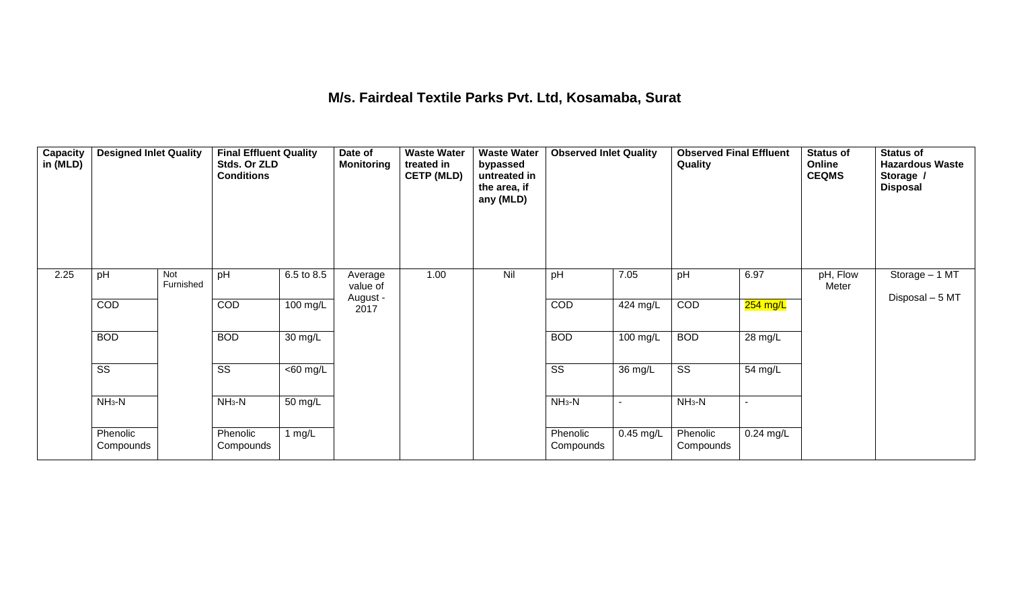#### **M/s. Fairdeal Textile Parks Pvt. Ltd, Kosamaba, Surat**

| Capacity<br>in (MLD) | <b>Designed Inlet Quality</b> |                  | <b>Final Effluent Quality</b><br>Stds. Or ZLD<br><b>Conditions</b> |                      | Date of<br><b>Monitoring</b> | <b>Waste Water</b><br>treated in<br><b>CETP (MLD)</b> | <b>Waste Water</b><br>bypassed<br>untreated in<br>the area, if<br>any (MLD) | <b>Observed Inlet Quality</b> |             | <b>Observed Final Effluent</b><br>Quality |             | <b>Status of</b><br>Online<br><b>CEQMS</b> | <b>Status of</b><br><b>Hazardous Waste</b><br>Storage /<br><b>Disposal</b> |
|----------------------|-------------------------------|------------------|--------------------------------------------------------------------|----------------------|------------------------------|-------------------------------------------------------|-----------------------------------------------------------------------------|-------------------------------|-------------|-------------------------------------------|-------------|--------------------------------------------|----------------------------------------------------------------------------|
| 2.25                 | pH                            | Not<br>Furnished | pH                                                                 | 6.5 to 8.5           | Average<br>value of          | 1.00                                                  | Nil                                                                         | pH                            | 7.05        | pH                                        | 6.97        | pH, Flow<br>Meter                          | Storage - 1 MT<br>Disposal - 5 MT                                          |
|                      | COD                           |                  | COD                                                                | 100 mg/L             | August -<br>2017             |                                                       |                                                                             | COD                           | 424 mg/L    | COD                                       | $254$ mg/L  |                                            |                                                                            |
|                      | <b>BOD</b>                    |                  | <b>BOD</b>                                                         | $30 \text{ mg/L}$    |                              |                                                       |                                                                             | <b>BOD</b>                    | 100 mg/L    | <b>BOD</b>                                | 28 mg/L     |                                            |                                                                            |
|                      | $\overline{\text{ss}}$        |                  | $\overline{\text{SS}}$                                             | $\overline{60}$ mg/L |                              |                                                       |                                                                             | $\overline{\text{ss}}$        | 36 mg/L     | $\overline{\text{ss}}$                    | 54 mg/L     |                                            |                                                                            |
|                      | $NH3-N$                       |                  | $NH3-N$                                                            | 50 mg/L              |                              |                                                       |                                                                             | $NH3-N$                       |             | $NH_3-N$                                  |             |                                            |                                                                            |
|                      | Phenolic<br>Compounds         |                  | Phenolic<br>Compounds                                              | 1 $mg/L$             |                              |                                                       |                                                                             | Phenolic<br>Compounds         | $0.45$ mg/L | Phenolic<br>Compounds                     | $0.24$ mg/L |                                            |                                                                            |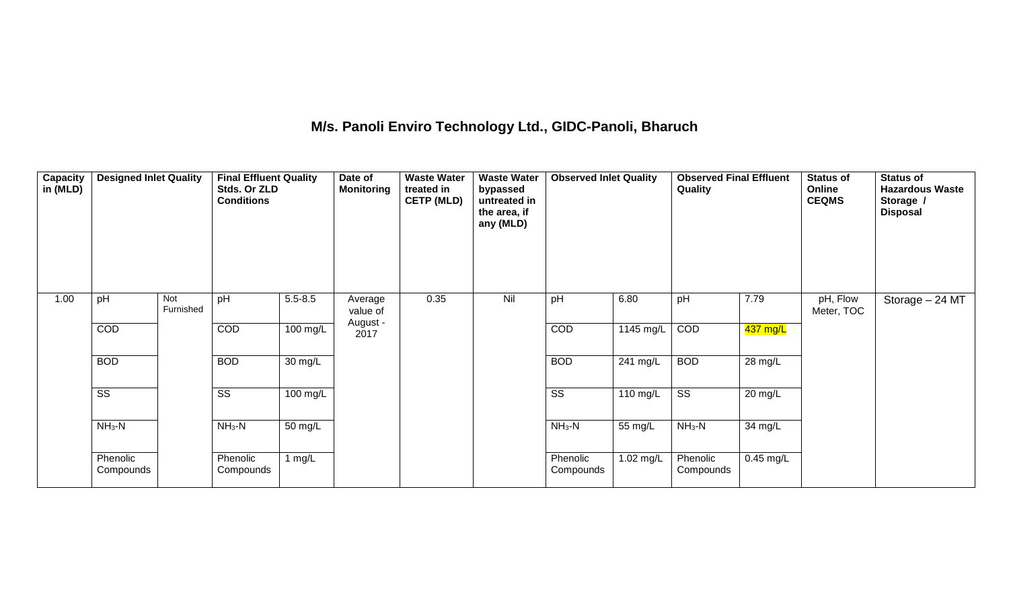## **M/s. Panoli Enviro Technology Ltd., GIDC-Panoli, Bharuch**

| Capacity<br>in (MLD) | <b>Designed Inlet Quality</b> |                  | <b>Final Effluent Quality</b><br>Stds. Or ZLD<br><b>Conditions</b> |             | Date of<br><b>Monitoring</b>    | <b>Waste Water</b><br>treated in<br><b>CETP (MLD)</b> | <b>Waste Water</b><br>bypassed<br>untreated in<br>the area, if<br>any (MLD) | <b>Observed Inlet Quality</b> |           | <b>Observed Final Effluent</b><br>Quality |             | <b>Status of</b><br>Online<br><b>CEQMS</b> | <b>Status of</b><br><b>Hazardous Waste</b><br>Storage /<br><b>Disposal</b> |
|----------------------|-------------------------------|------------------|--------------------------------------------------------------------|-------------|---------------------------------|-------------------------------------------------------|-----------------------------------------------------------------------------|-------------------------------|-----------|-------------------------------------------|-------------|--------------------------------------------|----------------------------------------------------------------------------|
| 1.00                 | pH                            | Not<br>Furnished | pH                                                                 | $5.5 - 8.5$ | Average<br>value of<br>August - | 0.35                                                  | Nil                                                                         | pH                            | 6.80      | pH                                        | 7.79        | pH, Flow<br>Meter, TOC                     | Storage - 24 MT                                                            |
|                      | COD                           |                  | COD                                                                | 100 mg/L    | 2017                            |                                                       |                                                                             | COD                           | 1145 mg/L | COD                                       | 437 mg/L    |                                            |                                                                            |
|                      | <b>BOD</b>                    |                  | <b>BOD</b>                                                         | 30 mg/L     |                                 |                                                       |                                                                             | <b>BOD</b>                    | 241 mg/L  | <b>BOD</b>                                | 28 mg/L     |                                            |                                                                            |
|                      | $\overline{\text{ss}}$        |                  | $\overline{\text{ss}}$                                             | 100 mg/L    |                                 |                                                       |                                                                             | $\overline{\text{ss}}$        | 110 mg/L  | $\overline{\text{ss}}$                    | 20 mg/L     |                                            |                                                                            |
|                      | $NH3-N$                       |                  | $NH3-N$                                                            | 50 mg/L     |                                 |                                                       |                                                                             | $NH3-N$                       | 55 mg/L   | $NH3-N$                                   | 34 mg/L     |                                            |                                                                            |
|                      | Phenolic<br>Compounds         |                  | Phenolic<br>Compounds                                              | 1 $mg/L$    |                                 |                                                       |                                                                             | Phenolic<br>Compounds         | 1.02 mg/L | Phenolic<br>Compounds                     | $0.45$ mg/L |                                            |                                                                            |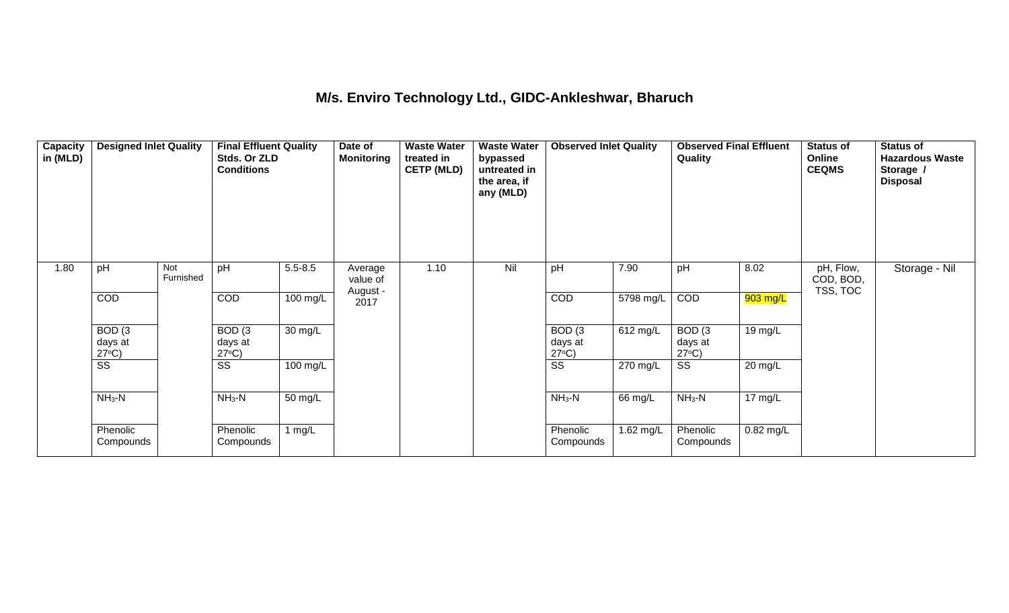#### **M/s. Enviro Technology Ltd., GIDC-Ankleshwar, Bharuch**

| <b>Capacity</b><br>in (MLD) | <b>Designed Inlet Quality</b>        |                  | <b>Final Effluent Quality</b><br>Stds. Or ZLD<br><b>Conditions</b> |                      | Date of<br><b>Monitoring</b> | <b>Waste Water</b><br>treated in<br><b>CETP (MLD)</b> | <b>Waste Water</b><br>bypassed<br>untreated in<br>the area, if<br>any (MLD) | <b>Observed Inlet Quality</b>        |           | <b>Observed Final Effluent</b><br>Quality |             | <b>Status of</b><br>Online<br><b>CEQMS</b> | <b>Status of</b><br><b>Hazardous Waste</b><br>Storage /<br><b>Disposal</b> |
|-----------------------------|--------------------------------------|------------------|--------------------------------------------------------------------|----------------------|------------------------------|-------------------------------------------------------|-----------------------------------------------------------------------------|--------------------------------------|-----------|-------------------------------------------|-------------|--------------------------------------------|----------------------------------------------------------------------------|
| 1.80                        | pH                                   | Not<br>Furnished | pH                                                                 | $5.5 - 8.5$          | Average<br>value of          | 1.10                                                  | Nil                                                                         | pH                                   | 7.90      | pH                                        | 8.02        | pH, Flow,<br>COD, BOD,<br>TSS, TOC         | Storage - Nil                                                              |
|                             | COD                                  |                  | COD                                                                | 100 mg/L             | August -<br>2017             |                                                       |                                                                             | COD                                  | 5798 mg/L | COD                                       | 903 mg/L    |                                            |                                                                            |
|                             | BOD(3)<br>days at<br>$27^{\circ}C$ ) |                  | BOD(3)<br>days at<br>$27^{\circ}C$ )                               | $\overline{30}$ mg/L |                              |                                                       |                                                                             | BOD(3)<br>days at<br>$27^{\circ}C$ ) | 612 mg/L  | BOD(3)<br>days at<br>$27^{\circ}C$ )      | 19 mg/L     |                                            |                                                                            |
|                             | $\overline{\text{ss}}$               |                  | $\overline{\text{ss}}$                                             | 100 mg/L             |                              |                                                       |                                                                             | $\overline{\text{SS}}$               | 270 mg/L  | $\overline{\text{ss}}$                    | 20 mg/L     |                                            |                                                                            |
|                             | $NH3-N$                              |                  | $NH3-N$                                                            | 50 mg/L              |                              |                                                       |                                                                             | $NH_3-N$                             | 66 mg/L   | $NH_3-N$                                  | 17 mg/L     |                                            |                                                                            |
|                             | Phenolic<br>Compounds                |                  | Phenolic<br>Compounds                                              | 1 $mg/L$             |                              |                                                       |                                                                             | Phenolic<br>Compounds                | 1.62 mg/L | Phenolic<br>Compounds                     | $0.82$ mg/L |                                            |                                                                            |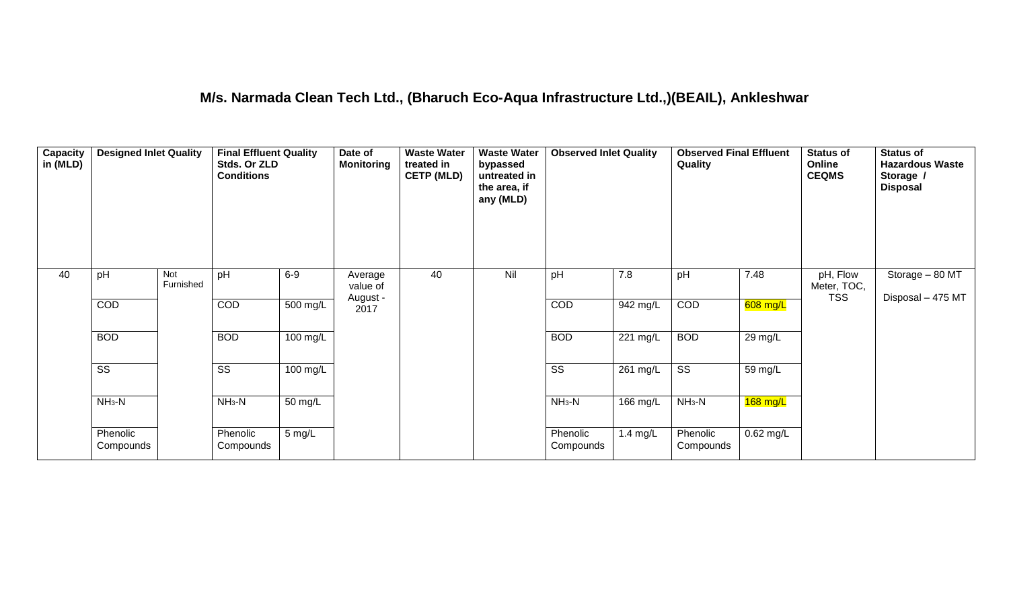#### **M/s. Narmada Clean Tech Ltd., (Bharuch Eco-Aqua Infrastructure Ltd.,)(BEAIL), Ankleshwar**

| <b>Capacity</b><br>in (MLD) | <b>Designed Inlet Quality</b> |                  | <b>Final Effluent Quality</b><br>Stds. Or ZLD<br><b>Conditions</b> |                      | Date of<br><b>Monitoring</b> | <b>Waste Water</b><br>treated in<br><b>CETP (MLD)</b> | <b>Waste Water</b><br>bypassed<br>untreated in<br>the area, if<br>any (MLD) | <b>Observed Inlet Quality</b> |            | <b>Observed Final Effluent</b><br>Quality |            | <b>Status of</b><br>Online<br><b>CEQMS</b> | <b>Status of</b><br><b>Hazardous Waste</b><br>Storage /<br><b>Disposal</b> |
|-----------------------------|-------------------------------|------------------|--------------------------------------------------------------------|----------------------|------------------------------|-------------------------------------------------------|-----------------------------------------------------------------------------|-------------------------------|------------|-------------------------------------------|------------|--------------------------------------------|----------------------------------------------------------------------------|
| 40                          | pH                            | Not<br>Furnished | pH                                                                 | $6-9$                | Average<br>value of          | 40                                                    | Nil                                                                         | pH                            | 7.8        | pH                                        | 7.48       | pH, Flow<br>Meter, TOC,<br><b>TSS</b>      | Storage - 80 MT<br>Disposal - 475 MT                                       |
|                             | COD                           |                  | COD                                                                | 500 mg/L             | August -<br>2017             |                                                       |                                                                             | COD                           | 942 mg/L   | COD                                       | $608$ mg/L |                                            |                                                                            |
|                             | <b>BOD</b>                    |                  | <b>BOD</b>                                                         | 100 mg/L             |                              |                                                       |                                                                             | <b>BOD</b>                    | 221 mg/L   | <b>BOD</b>                                | 29 mg/L    |                                            |                                                                            |
|                             | $\overline{\text{ss}}$        |                  | $\overline{\text{ss}}$                                             | 100 mg/L             |                              |                                                       |                                                                             | $\overline{\text{ss}}$        | 261 mg/L   | $\overline{\text{ss}}$                    | 59 mg/L    |                                            |                                                                            |
|                             | $NH3-N$                       |                  | $NH3-N$                                                            | $\overline{50}$ mg/L |                              |                                                       |                                                                             | $NH3-N$                       | 166 mg/L   | $NH3-N$                                   | $168$ mg/L |                                            |                                                                            |
|                             | Phenolic<br>Compounds         |                  | Phenolic<br>Compounds                                              | 5 mg/L               |                              |                                                       |                                                                             | Phenolic<br>Compounds         | $1.4$ mg/L | Phenolic<br>Compounds                     | 0.62 mg/L  |                                            |                                                                            |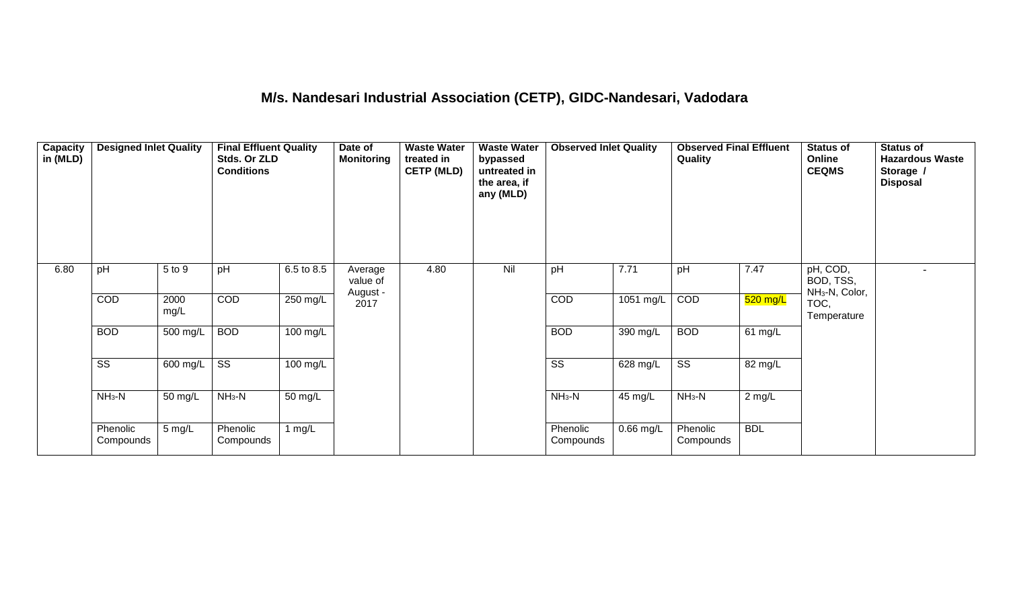## **M/s. Nandesari Industrial Association (CETP), GIDC-Nandesari, Vadodara**

| Capacity<br>in (MLD) | <b>Designed Inlet Quality</b> |              | <b>Final Effluent Quality</b><br>Stds. Or ZLD<br><b>Conditions</b> |                      | Date of<br><b>Monitoring</b>    | <b>Waste Water</b><br>treated in<br><b>CETP (MLD)</b> | <b>Waste Water</b><br>bypassed<br>untreated in<br>the area, if<br>any (MLD) | <b>Observed Inlet Quality</b> |             | <b>Observed Final Effluent</b><br>Quality |                   | <b>Status of</b><br>Online<br><b>CEQMS</b>          | <b>Status of</b><br><b>Hazardous Waste</b><br>Storage /<br><b>Disposal</b> |
|----------------------|-------------------------------|--------------|--------------------------------------------------------------------|----------------------|---------------------------------|-------------------------------------------------------|-----------------------------------------------------------------------------|-------------------------------|-------------|-------------------------------------------|-------------------|-----------------------------------------------------|----------------------------------------------------------------------------|
| 6.80                 | pH                            | 5 to 9       | pH                                                                 | 6.5 to 8.5           | Average<br>value of<br>August - | 4.80                                                  | Nil                                                                         | pH                            | 7.71        | pH                                        | 7.47              | pH, COD,<br>BOD, TSS,<br>NH <sub>3</sub> -N, Color, |                                                                            |
|                      | COD                           | 2000<br>mg/L | COD                                                                | $250$ mg/L           | 2017                            |                                                       |                                                                             | COD                           | $1051$ mg/L | COD                                       | $520$ mg/L        | TOC,<br>Temperature                                 |                                                                            |
|                      | <b>BOD</b>                    | 500 mg/L     | <b>BOD</b>                                                         | 100 mg/L             |                                 |                                                       |                                                                             | <b>BOD</b>                    | 390 mg/L    | <b>BOD</b>                                | $61 \text{ mg/L}$ |                                                     |                                                                            |
|                      | $\overline{\text{SS}}$        | 600 mg/L     | $\overline{\text{ss}}$                                             | 100 mg/L             |                                 |                                                       |                                                                             | $\overline{\text{SS}}$        | 628 mg/L    | $\overline{\text{ss}}$                    | 82 mg/L           |                                                     |                                                                            |
|                      | $NH3-N$                       | 50 mg/L      | $NH3-N$                                                            | $\overline{50}$ mg/L |                                 |                                                       |                                                                             | $NH_3-N$                      | 45 mg/L     | $NH3-N$                                   | $2$ mg/L          |                                                     |                                                                            |
|                      | Phenolic<br>Compounds         | 5 mg/L       | Phenolic<br>Compounds                                              | 1 $mg/L$             |                                 |                                                       |                                                                             | Phenolic<br>Compounds         | $0.66$ mg/L | Phenolic<br>Compounds                     | <b>BDL</b>        |                                                     |                                                                            |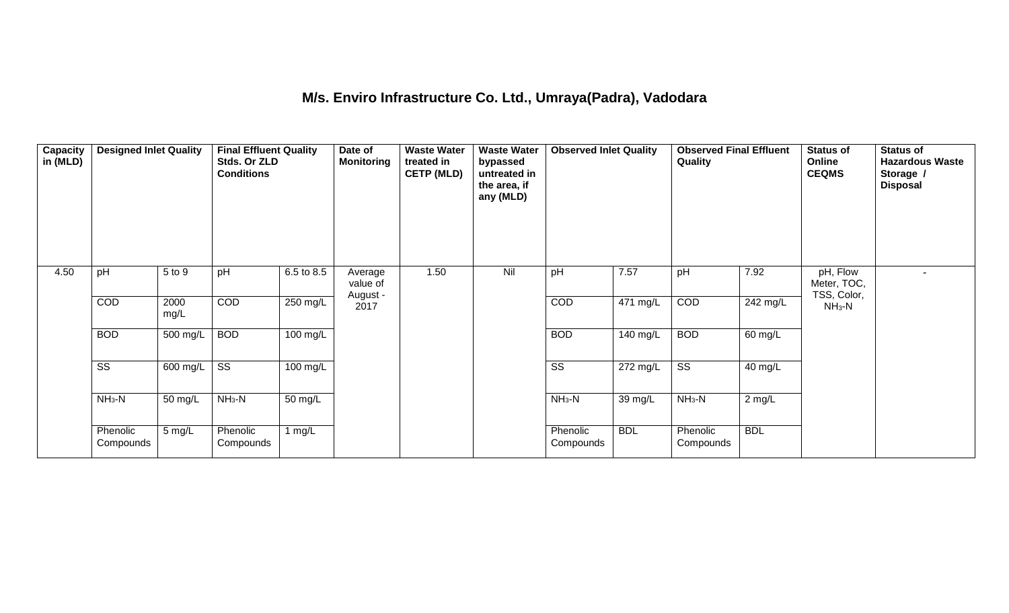## **M/s. Enviro Infrastructure Co. Ltd., Umraya(Padra), Vadodara**

| Capacity<br>in (MLD) | <b>Designed Inlet Quality</b> |              | <b>Final Effluent Quality</b><br>Stds. Or ZLD<br><b>Conditions</b> |                    | Date of<br><b>Monitoring</b>    | <b>Waste Water</b><br>treated in<br><b>CETP (MLD)</b> | <b>Waste Water</b><br>bypassed<br>untreated in<br>the area, if<br>any (MLD) | <b>Observed Inlet Quality</b> |                       | <b>Observed Final Effluent</b><br>Quality |            | <b>Status of</b><br>Online<br><b>CEQMS</b> | <b>Status of</b><br><b>Hazardous Waste</b><br>Storage /<br><b>Disposal</b> |
|----------------------|-------------------------------|--------------|--------------------------------------------------------------------|--------------------|---------------------------------|-------------------------------------------------------|-----------------------------------------------------------------------------|-------------------------------|-----------------------|-------------------------------------------|------------|--------------------------------------------|----------------------------------------------------------------------------|
| 4.50                 | pH                            | 5 to 9       | pH                                                                 | 6.5 to 8.5         | Average<br>value of<br>August - | 1.50                                                  | Nil                                                                         | pH                            | 7.57                  | pH                                        | 7.92       | pH, Flow<br>Meter, TOC,<br>TSS, Color,     |                                                                            |
|                      | COD                           | 2000<br>mg/L | COD                                                                | 250 mg/L           | 2017                            |                                                       |                                                                             | COD                           | $\overline{471}$ mg/L | COD                                       | 242 mg/L   | $NH3-N$                                    |                                                                            |
|                      | <b>BOD</b>                    | 500 mg/L     | <b>BOD</b>                                                         | $100 \text{ mg/L}$ |                                 |                                                       |                                                                             | <b>BOD</b>                    | 140 mg/L              | <b>BOD</b>                                | 60 mg/L    |                                            |                                                                            |
|                      | $\overline{\text{ss}}$        | 600 mg/L     | $\overline{\text{ss}}$                                             | 100 mg/L           |                                 |                                                       |                                                                             | $\overline{\text{ss}}$        | 272 mg/L              | $\overline{\text{ss}}$                    | 40 mg/L    |                                            |                                                                            |
|                      | $NH3-N$                       | 50 mg/L      | $NH3-N$                                                            | 50 mg/L            |                                 |                                                       |                                                                             | $NH3-N$                       | 39 mg/L               | $NH3-N$                                   | $2$ mg/L   |                                            |                                                                            |
|                      | Phenolic<br>Compounds         | 5 mg/L       | Phenolic<br>Compounds                                              | 1 $mg/L$           |                                 |                                                       |                                                                             | Phenolic<br>Compounds         | <b>BDL</b>            | Phenolic<br>Compounds                     | <b>BDL</b> |                                            |                                                                            |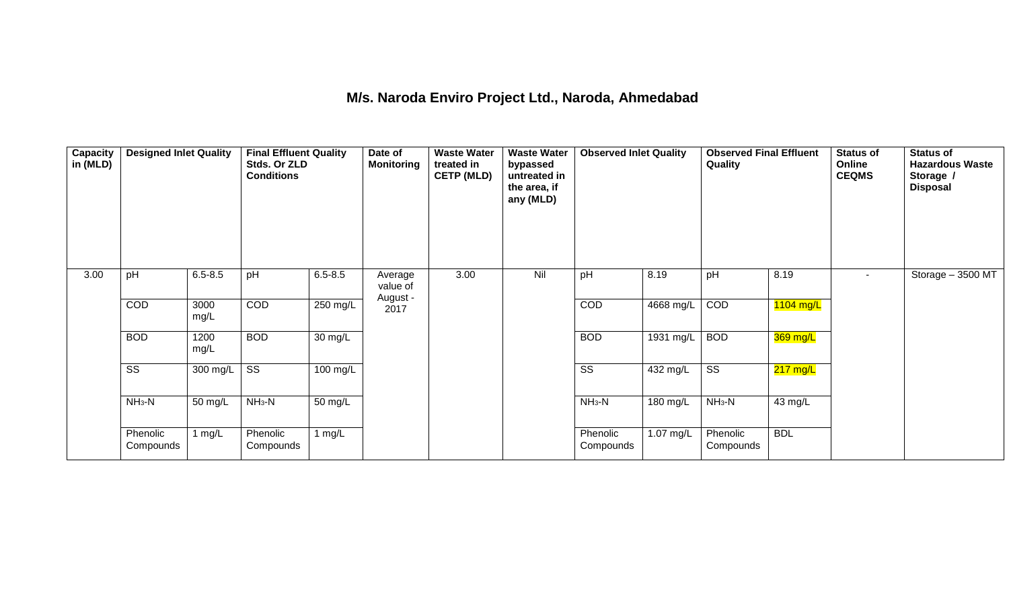#### **M/s. Naroda Enviro Project Ltd., Naroda, Ahmedabad**

| Capacity<br>in (MLD) | <b>Designed Inlet Quality</b> |              | <b>Final Effluent Quality</b><br>Stds. Or ZLD<br><b>Conditions</b> |             | Date of<br><b>Monitoring</b>    | <b>Waste Water</b><br>treated in<br><b>CETP (MLD)</b> | <b>Waste Water</b><br>bypassed<br>untreated in<br>the area, if<br>any (MLD) | <b>Observed Inlet Quality</b> |                        | <b>Observed Final Effluent</b><br>Quality |             | <b>Status of</b><br>Online<br><b>CEQMS</b> | <b>Status of</b><br><b>Hazardous Waste</b><br>Storage /<br><b>Disposal</b> |
|----------------------|-------------------------------|--------------|--------------------------------------------------------------------|-------------|---------------------------------|-------------------------------------------------------|-----------------------------------------------------------------------------|-------------------------------|------------------------|-------------------------------------------|-------------|--------------------------------------------|----------------------------------------------------------------------------|
| 3.00                 | pH                            | $6.5 - 8.5$  | pH                                                                 | $6.5 - 8.5$ | Average<br>value of<br>August - | 3.00                                                  | Nil                                                                         | pH                            | 8.19                   | pH                                        | 8.19        | $\sim$                                     | Storage - 3500 MT                                                          |
|                      | COD                           | 3000<br>mg/L | COD                                                                | 250 mg/L    | 2017                            |                                                       |                                                                             | COD                           | 4668 mg/L              | COD                                       | $1104$ mg/L |                                            |                                                                            |
|                      | <b>BOD</b>                    | 1200<br>mg/L | <b>BOD</b>                                                         | 30 mg/L     |                                 |                                                       |                                                                             | <b>BOD</b>                    | $\overline{1931}$ mg/L | <b>BOD</b>                                | 369 mg/L    |                                            |                                                                            |
|                      | $\overline{\text{ss}}$        | 300 mg/L     | $\overline{\text{ss}}$                                             | 100 mg/L    |                                 |                                                       |                                                                             | $\overline{\text{ss}}$        | 432 mg/L               | $\overline{\text{ss}}$                    | 217 mg/L    |                                            |                                                                            |
|                      | $NH_3-N$                      | 50 mg/L      | $NH3-N$                                                            | 50 mg/L     |                                 |                                                       |                                                                             | $NH3-N$                       | 180 mg/L               | $NH3-N$                                   | 43 mg/L     |                                            |                                                                            |
|                      | Phenolic<br>Compounds         | 1 $mg/L$     | Phenolic<br>Compounds                                              | 1 mg/L      |                                 |                                                       |                                                                             | Phenolic<br>Compounds         | 1.07 mg/L              | Phenolic<br>Compounds                     | <b>BDL</b>  |                                            |                                                                            |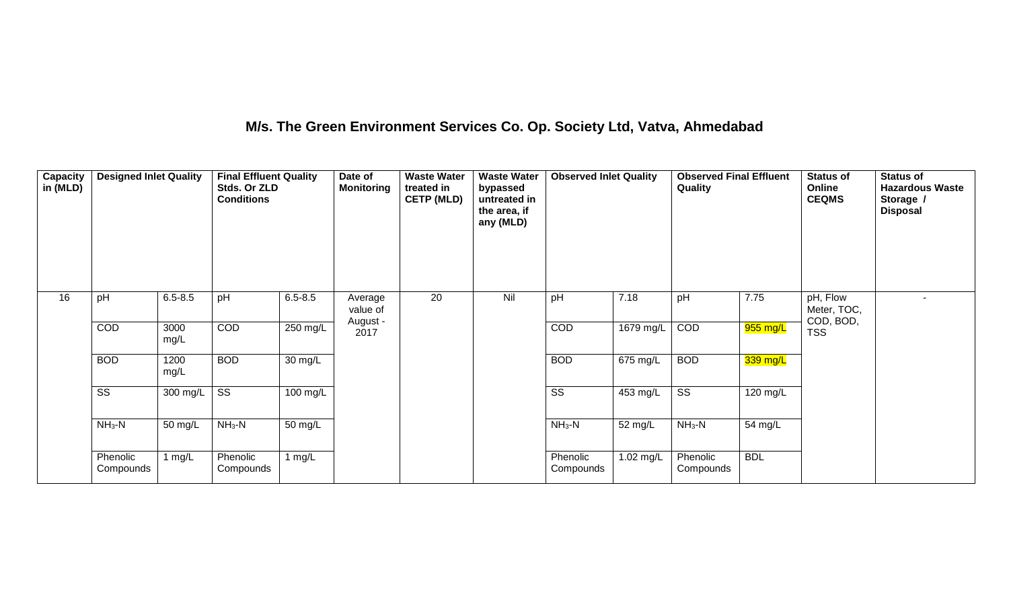## **M/s. The Green Environment Services Co. Op. Society Ltd, Vatva, Ahmedabad**

| Capacity<br>in (MLD) | <b>Designed Inlet Quality</b> |              | <b>Final Effluent Quality</b><br>Stds. Or ZLD<br><b>Conditions</b> |                      | Date of<br><b>Monitoring</b> | <b>Waste Water</b><br>treated in<br><b>CETP (MLD)</b> | <b>Waste Water</b><br>bypassed<br>untreated in<br>the area, if<br>any (MLD) | <b>Observed Inlet Quality</b> |            | <b>Observed Final Effluent</b><br>Quality |                    | <b>Status of</b><br>Online<br><b>CEQMS</b> | <b>Status of</b><br><b>Hazardous Waste</b><br>Storage /<br><b>Disposal</b> |
|----------------------|-------------------------------|--------------|--------------------------------------------------------------------|----------------------|------------------------------|-------------------------------------------------------|-----------------------------------------------------------------------------|-------------------------------|------------|-------------------------------------------|--------------------|--------------------------------------------|----------------------------------------------------------------------------|
| 16                   | pH                            | $6.5 - 8.5$  | pH                                                                 | $6.5 - 8.5$          | Average<br>value of          | 20                                                    | Nil                                                                         | pH                            | 7.18       | pH                                        | 7.75               | pH, Flow<br>Meter, TOC,                    | $\overline{\phantom{0}}$                                                   |
|                      | <b>COD</b>                    | 3000<br>mg/L | COD                                                                | $250$ mg/L           | August -<br>2017             |                                                       |                                                                             | COD                           | 1679 mg/L  | COD                                       | 955 mg/L           | COD, BOD,<br><b>TSS</b>                    |                                                                            |
|                      | <b>BOD</b>                    | 1200<br>mg/L | <b>BOD</b>                                                         | $\overline{30}$ mg/L |                              |                                                       |                                                                             | <b>BOD</b>                    | $675$ mg/L | <b>BOD</b>                                | $339$ mg/L         |                                            |                                                                            |
|                      | $\overline{\text{ss}}$        | 300 mg/L     | $\overline{\text{ss}}$                                             | 100 mg/L             |                              |                                                       |                                                                             | $\overline{\text{ss}}$        | 453 mg/L   | $\overline{\text{ss}}$                    | $120 \text{ mg/L}$ |                                            |                                                                            |
|                      | $NH3-N$                       | 50 mg/L      | $NH3-N$                                                            | 50 mg/L              |                              |                                                       |                                                                             | $NH_3-N$                      | 52 mg/L    | $NH_3-N$                                  | 54 mg/L            |                                            |                                                                            |
|                      | Phenolic<br>Compounds         | 1 $mg/L$     | Phenolic<br>Compounds                                              | 1 $mg/L$             |                              |                                                       |                                                                             | Phenolic<br>Compounds         | 1.02 mg/L  | Phenolic<br>Compounds                     | <b>BDL</b>         |                                            |                                                                            |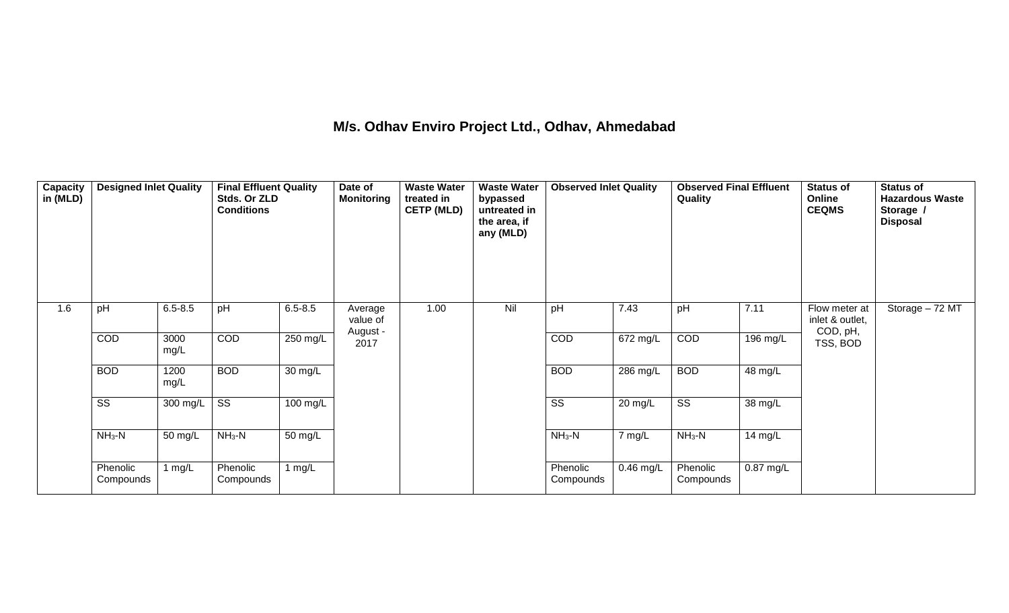## **M/s. Odhav Enviro Project Ltd., Odhav, Ahmedabad**

| <b>Capacity</b><br>in (MLD) | <b>Designed Inlet Quality</b> |              | <b>Final Effluent Quality</b><br>Stds. Or ZLD<br><b>Conditions</b> |                    | Date of<br><b>Monitoring</b> | <b>Waste Water</b><br>treated in<br><b>CETP (MLD)</b> | <b>Waste Water</b><br>bypassed<br>untreated in<br>the area, if<br>any (MLD) | <b>Observed Inlet Quality</b> |             | <b>Observed Final Effluent</b><br>Quality |             | <b>Status of</b><br>Online<br><b>CEQMS</b>   | <b>Status of</b><br><b>Hazardous Waste</b><br>Storage /<br><b>Disposal</b> |
|-----------------------------|-------------------------------|--------------|--------------------------------------------------------------------|--------------------|------------------------------|-------------------------------------------------------|-----------------------------------------------------------------------------|-------------------------------|-------------|-------------------------------------------|-------------|----------------------------------------------|----------------------------------------------------------------------------|
| 1.6                         | pH                            | $6.5 - 8.5$  | pH                                                                 | $6.5 - 8.5$        | Average<br>value of          | 1.00                                                  | Nil                                                                         | pH                            | 7.43        | pH                                        | 7.11        | Flow meter at<br>inlet & outlet,<br>COD, pH, | Storage $-72$ MT                                                           |
|                             | COD                           | 3000<br>mg/L | <b>COD</b>                                                         | 250 mg/L           | August -<br>2017             |                                                       |                                                                             | <b>COD</b>                    | 672 mg/L    | COD                                       | 196 mg/L    | TSS, BOD                                     |                                                                            |
|                             | <b>BOD</b>                    | 1200<br>mg/L | <b>BOD</b>                                                         | 30 mg/L            |                              |                                                       |                                                                             | <b>BOD</b>                    | $286$ mg/L  | <b>BOD</b>                                | 48 mg/L     |                                              |                                                                            |
|                             | $\overline{\text{ss}}$        | 300 mg/L     | $\overline{\text{SS}}$                                             | $100 \text{ mg/L}$ |                              |                                                       |                                                                             | $\overline{\text{SS}}$        | 20 mg/L     | $\overline{\text{SS}}$                    | 38 mg/L     |                                              |                                                                            |
|                             | $NH3-N$                       | 50 mg/L      | $NH3-N$                                                            | 50 mg/L            |                              |                                                       |                                                                             | $NH3-N$                       | 7 mg/L      | $NH3-N$                                   | 14 mg/L     |                                              |                                                                            |
|                             | Phenolic<br>Compounds         | 1 $mg/L$     | Phenolic<br>Compounds                                              | 1 $mg/L$           |                              |                                                       |                                                                             | Phenolic<br>Compounds         | $0.46$ mg/L | Phenolic<br>Compounds                     | $0.87$ mg/L |                                              |                                                                            |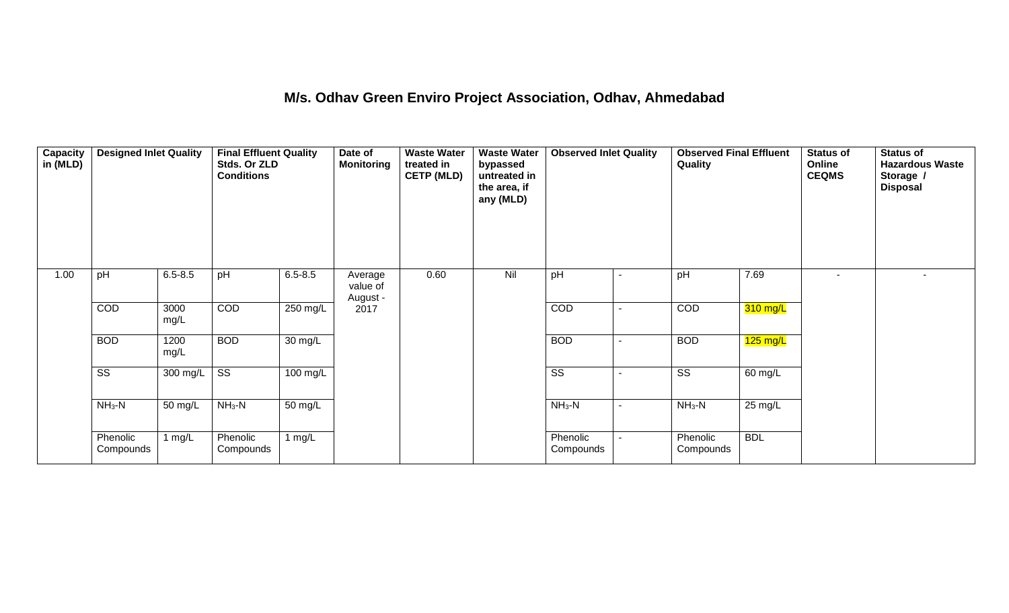#### **M/s. Odhav Green Enviro Project Association, Odhav, Ahmedabad**

| Capacity<br>in (MLD) | <b>Designed Inlet Quality</b> |              | <b>Final Effluent Quality</b><br>Stds. Or ZLD<br><b>Conditions</b> |             | Date of<br><b>Monitoring</b>    | <b>Waste Water</b><br>treated in<br><b>CETP (MLD)</b> | <b>Waste Water</b><br>bypassed<br>untreated in<br>the area, if<br>any (MLD) | <b>Observed Inlet Quality</b> |                          | <b>Observed Final Effluent</b><br>Quality |                      | <b>Status of</b><br>Online<br><b>CEQMS</b> | <b>Status of</b><br><b>Hazardous Waste</b><br>Storage /<br><b>Disposal</b> |
|----------------------|-------------------------------|--------------|--------------------------------------------------------------------|-------------|---------------------------------|-------------------------------------------------------|-----------------------------------------------------------------------------|-------------------------------|--------------------------|-------------------------------------------|----------------------|--------------------------------------------|----------------------------------------------------------------------------|
| 1.00                 | pH                            | $6.5 - 8.5$  | pH                                                                 | $6.5 - 8.5$ | Average<br>value of<br>August - | 0.60                                                  | Nil                                                                         | pH                            | $\blacksquare$           | pH                                        | 7.69                 |                                            | $\sim$                                                                     |
|                      | COD                           | 3000<br>mg/L | COD                                                                | 250 mg/L    | 2017                            |                                                       |                                                                             | <b>COD</b>                    | $\blacksquare$           | COD                                       | 310 mg/L             |                                            |                                                                            |
|                      | <b>BOD</b>                    | 1200<br>mg/L | <b>BOD</b>                                                         | 30 mg/L     |                                 |                                                       |                                                                             | <b>BOD</b>                    | $\overline{\phantom{a}}$ | <b>BOD</b>                                | $125 \text{ mg/L}$   |                                            |                                                                            |
|                      | $\overline{\text{ss}}$        | 300 mg/L     | $\overline{\text{SS}}$                                             | 100 mg/L    |                                 |                                                       |                                                                             | $\overline{\text{ss}}$        | $\blacksquare$           | $\overline{\text{ss}}$                    | $\overline{60}$ mg/L |                                            |                                                                            |
|                      | $NH3-N$                       | 50 mg/L      | $NH_3-N$                                                           | 50 mg/L     |                                 |                                                       |                                                                             | $NH_3-N$                      | $\blacksquare$           | $NH_3-N$                                  | 25 mg/L              |                                            |                                                                            |
|                      | Phenolic<br>Compounds         | 1 mg/L       | Phenolic<br>Compounds                                              | 1 $mg/L$    |                                 |                                                       |                                                                             | Phenolic<br>Compounds         |                          | Phenolic<br>Compounds                     | <b>BDL</b>           |                                            |                                                                            |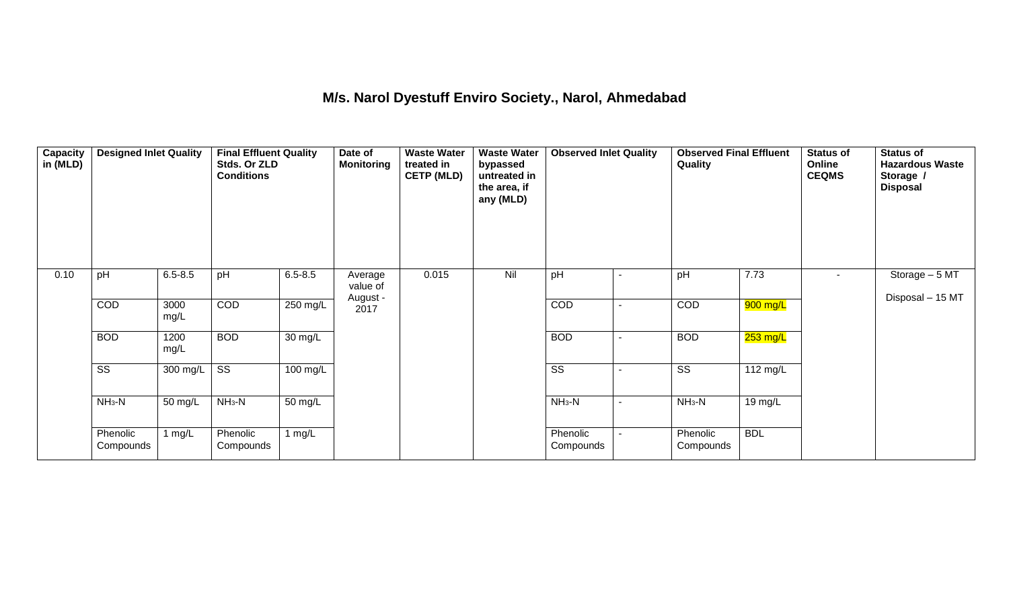#### **M/s. Narol Dyestuff Enviro Society., Narol, Ahmedabad**

| Capacity<br>in (MLD) | <b>Designed Inlet Quality</b> |              | <b>Final Effluent Quality</b><br>Stds. Or ZLD<br><b>Conditions</b> |                    | Date of<br><b>Monitoring</b> | <b>Waste Water</b><br>treated in<br><b>CETP (MLD)</b> | <b>Waste Water</b><br>bypassed<br>untreated in<br>the area, if<br>any (MLD) | <b>Observed Inlet Quality</b> |                | <b>Observed Final Effluent</b><br>Quality |            | <b>Status of</b><br>Online<br><b>CEQMS</b> | <b>Status of</b><br><b>Hazardous Waste</b><br>Storage /<br><b>Disposal</b> |
|----------------------|-------------------------------|--------------|--------------------------------------------------------------------|--------------------|------------------------------|-------------------------------------------------------|-----------------------------------------------------------------------------|-------------------------------|----------------|-------------------------------------------|------------|--------------------------------------------|----------------------------------------------------------------------------|
| 0.10                 | pH                            | $6.5 - 8.5$  | pH                                                                 | $6.5 - 8.5$        | Average<br>value of          | 0.015                                                 | Nil                                                                         | pH                            | $\blacksquare$ | pH                                        | 7.73       | $\sim$                                     | Storage - 5 MT<br>Disposal - 15 MT                                         |
|                      | COD                           | 3000<br>mg/L | COD                                                                | $250 \text{ mg/L}$ | August -<br>2017             |                                                       |                                                                             | COD                           |                | COD                                       | 900 mg/L   |                                            |                                                                            |
|                      | <b>BOD</b>                    | 1200<br>mg/L | <b>BOD</b>                                                         | 30 mg/L            |                              |                                                       |                                                                             | <b>BOD</b>                    | $\blacksquare$ | <b>BOD</b>                                | $253$ mg/L |                                            |                                                                            |
|                      | $\overline{\text{ss}}$        | 300 mg/L     | $\overline{\text{ss}}$                                             | $100 \text{ mg/L}$ |                              |                                                       |                                                                             | $\overline{\text{ss}}$        |                | $\overline{\text{ss}}$                    | 112 mg/L   |                                            |                                                                            |
|                      | $NH3-N$                       | 50 mg/L      | $NH3-N$                                                            | 50 mg/L            |                              |                                                       |                                                                             | $NH3-N$                       |                | $NH3-N$                                   | 19 mg/L    |                                            |                                                                            |
|                      | Phenolic<br>Compounds         | 1 $mg/L$     | Phenolic<br>Compounds                                              | 1 $mg/L$           |                              |                                                       |                                                                             | Phenolic<br>Compounds         |                | Phenolic<br>Compounds                     | <b>BDL</b> |                                            |                                                                            |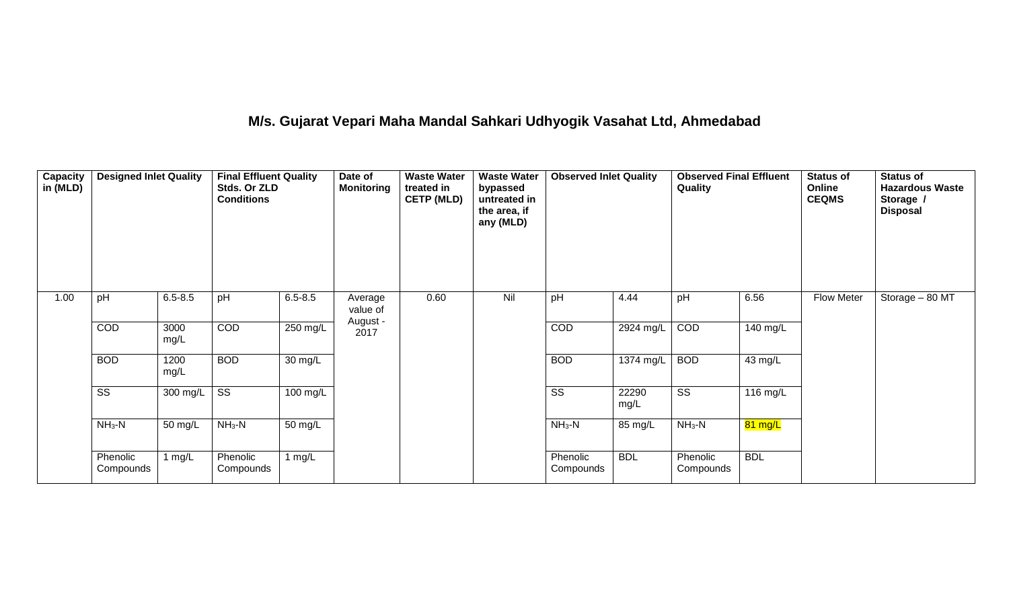# **M/s. Gujarat Vepari Maha Mandal Sahkari Udhyogik Vasahat Ltd, Ahmedabad**

| Capacity<br>in (MLD) | <b>Designed Inlet Quality</b> |              | <b>Final Effluent Quality</b><br>Stds. Or ZLD<br><b>Conditions</b> |                      | Date of<br><b>Monitoring</b> | <b>Waste Water</b><br>treated in<br><b>CETP (MLD)</b> | <b>Waste Water</b><br>bypassed<br>untreated in<br>the area, if<br>any (MLD) | <b>Observed Inlet Quality</b> |               | <b>Observed Final Effluent</b><br>Quality |            | <b>Status of</b><br>Online<br><b>CEQMS</b> | <b>Status of</b><br><b>Hazardous Waste</b><br>Storage /<br><b>Disposal</b> |
|----------------------|-------------------------------|--------------|--------------------------------------------------------------------|----------------------|------------------------------|-------------------------------------------------------|-----------------------------------------------------------------------------|-------------------------------|---------------|-------------------------------------------|------------|--------------------------------------------|----------------------------------------------------------------------------|
| 1.00                 | pH                            | $6.5 - 8.5$  | pH                                                                 | $6.5 - 8.5$          | Average<br>value of          | 0.60                                                  | Nil                                                                         | pH                            | 4.44          | pH                                        | 6.56       | Flow Meter                                 | Storage - 80 MT                                                            |
|                      | COD                           | 3000<br>mg/L | COD                                                                | 250 mg/L             | August -<br>2017             |                                                       |                                                                             | COD                           | 2924 mg/L     | COD                                       | 140 mg/L   |                                            |                                                                            |
|                      | <b>BOD</b>                    | 1200<br>mg/L | <b>BOD</b>                                                         | $\overline{30}$ mg/L |                              |                                                       |                                                                             | <b>BOD</b>                    | $1374$ mg/L   | <b>BOD</b>                                | 43 mg/L    |                                            |                                                                            |
|                      | $\overline{\text{ss}}$        | 300 mg/L     | $\overline{\text{SS}}$                                             | 100 mg/L             |                              |                                                       |                                                                             | $\overline{\text{SS}}$        | 22290<br>mg/L | $\overline{\text{ss}}$                    | 116 mg/L   |                                            |                                                                            |
|                      | $NH3-N$                       | 50 mg/L      | $NH3-N$                                                            | 50 mg/L              |                              |                                                       |                                                                             | $NH3-N$                       | 85 mg/L       | $NH3-N$                                   | 81 mg/L    |                                            |                                                                            |
|                      | Phenolic<br>Compounds         | mg/L         | Phenolic<br>Compounds                                              | 1 $mg/L$             |                              |                                                       |                                                                             | Phenolic<br>Compounds         | <b>BDL</b>    | Phenolic<br>Compounds                     | <b>BDL</b> |                                            |                                                                            |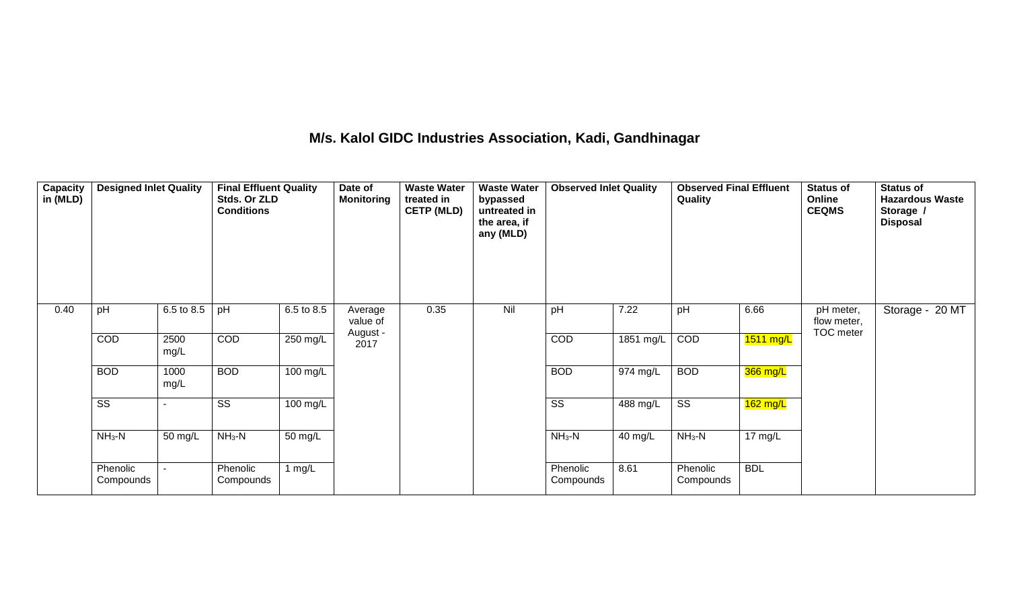## **M/s. Kalol GIDC Industries Association, Kadi, Gandhinagar**

| <b>Capacity</b><br>in (MLD) | <b>Designed Inlet Quality</b> |                       | <b>Final Effluent Quality</b><br>Stds. Or ZLD<br><b>Conditions</b> |            | Date of<br><b>Monitoring</b> | <b>Waste Water</b><br>treated in<br><b>CETP (MLD)</b> | <b>Waste Water</b><br>bypassed<br>untreated in<br>the area, if<br>any (MLD) | <b>Observed Inlet Quality</b> |           | <b>Observed Final Effluent</b><br>Quality |                     | <b>Status of</b><br>Online<br><b>CEQMS</b> | Status of<br><b>Hazardous Waste</b><br>Storage /<br><b>Disposal</b> |
|-----------------------------|-------------------------------|-----------------------|--------------------------------------------------------------------|------------|------------------------------|-------------------------------------------------------|-----------------------------------------------------------------------------|-------------------------------|-----------|-------------------------------------------|---------------------|--------------------------------------------|---------------------------------------------------------------------|
| 0.40                        | pH                            | $6.5 \text{ to } 8.5$ | pH                                                                 | 6.5 to 8.5 | Average<br>value of          | 0.35                                                  | Nil                                                                         | pH                            | 7.22      | pH                                        | 6.66                | pH meter,<br>flow meter,<br>TOC meter      | Storage - 20 MT                                                     |
|                             | COD                           | 2500<br>mg/L          | COD                                                                | 250 mg/L   | August -<br>2017             |                                                       |                                                                             | COD                           | 1851 mg/L | COD                                       | $1511 \text{ mg/L}$ |                                            |                                                                     |
|                             | <b>BOD</b>                    | 1000<br>mg/L          | <b>BOD</b>                                                         | 100 mg/L   |                              |                                                       |                                                                             | <b>BOD</b>                    | 974 mg/L  | <b>BOD</b>                                | 366 mg/L            |                                            |                                                                     |
|                             | SS                            |                       | SS                                                                 | 100 mg/L   |                              |                                                       |                                                                             | SS                            | 488 mg/L  | SS                                        | $162$ mg/L          |                                            |                                                                     |
|                             | $NH3-N$                       | 50 mg/L               | $NH3-N$                                                            | 50 mg/L    |                              |                                                       |                                                                             | $NH3-N$                       | 40 mg/L   | $NH3-N$                                   | $17 \text{ mg/L}$   |                                            |                                                                     |
|                             | Phenolic<br>Compounds         |                       | Phenolic<br>Compounds                                              | 1 $mg/L$   |                              |                                                       |                                                                             | Phenolic<br>Compounds         | 8.61      | Phenolic<br>Compounds                     | <b>BDL</b>          |                                            |                                                                     |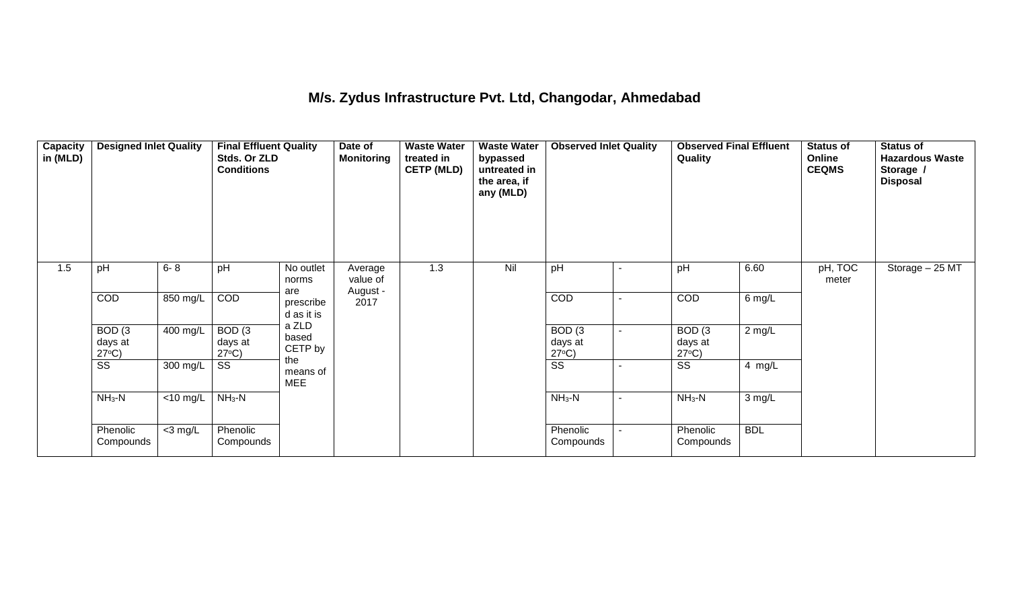## **M/s. Zydus Infrastructure Pvt. Ltd, Changodar, Ahmedabad**

| Capacity<br>in (MLD) | <b>Designed Inlet Quality</b>        |            | <b>Final Effluent Quality</b><br>Stds. Or ZLD<br><b>Conditions</b> |                                | Date of<br><b>Monitoring</b> | <b>Waste Water</b><br>treated in<br><b>CETP (MLD)</b> | <b>Waste Water</b><br>bypassed<br>untreated in<br>the area, if<br>any (MLD) | <b>Observed Inlet Quality</b>        |                | <b>Observed Final Effluent</b><br>Quality |            | <b>Status of</b><br>Online<br><b>CEQMS</b> | <b>Status of</b><br><b>Hazardous Waste</b><br>Storage /<br><b>Disposal</b> |
|----------------------|--------------------------------------|------------|--------------------------------------------------------------------|--------------------------------|------------------------------|-------------------------------------------------------|-----------------------------------------------------------------------------|--------------------------------------|----------------|-------------------------------------------|------------|--------------------------------------------|----------------------------------------------------------------------------|
| 1.5                  | pH                                   | $6 - 8$    | pH                                                                 | No outlet<br>norms             | Average<br>value of          | 1.3                                                   | Nil                                                                         | pH                                   | $\blacksquare$ | pH                                        | 6.60       | pH, TOC<br>meter                           | Storage - 25 MT                                                            |
|                      | <b>COD</b>                           | 850 mg/L   | COD                                                                | are<br>prescribe<br>d as it is | August -<br>2017             |                                                       |                                                                             | <b>COD</b>                           | Ξ.             | COD                                       | 6 mg/L     |                                            |                                                                            |
|                      | BOD(3)<br>days at<br>$27^{\circ}C$ ) | 400 mg/L   | BOD(3)<br>days at<br>$27^{\circ}C$ )                               | a ZLD<br>based<br>CETP by      |                              |                                                       |                                                                             | BOD(3)<br>days at<br>$27^{\circ}C$ ) |                | BOD(3)<br>days at<br>$27^{\circ}C$ )      | $2$ mg/L   |                                            |                                                                            |
|                      | $\overline{\text{ss}}$               | 300 mg/L   | SS                                                                 | the<br>means of<br><b>MEE</b>  |                              |                                                       |                                                                             | $\overline{\text{ss}}$               | ٠              | $\overline{\text{SS}}$                    | 4 mg/L     |                                            |                                                                            |
|                      | $NH_3-N$                             | <10 mg/L   | $NH3-N$                                                            |                                |                              |                                                       |                                                                             | $NH_3-N$                             | ٠              | $NH3-N$                                   | 3 mg/L     |                                            |                                                                            |
|                      | Phenolic<br>Compounds                | $<$ 3 mg/L | Phenolic<br>Compounds                                              |                                |                              |                                                       |                                                                             | Phenolic<br>Compounds                |                | Phenolic<br>Compounds                     | <b>BDL</b> |                                            |                                                                            |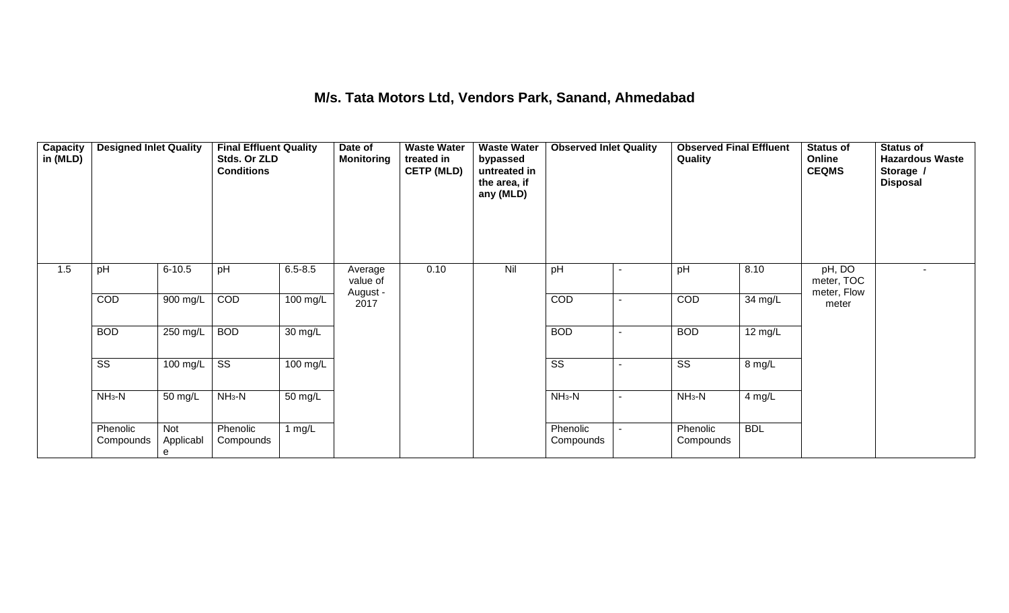## **M/s. Tata Motors Ltd, Vendors Park, Sanand, Ahmedabad**

| Capacity<br>in (MLD) | <b>Designed Inlet Quality</b> |                       | <b>Final Effluent Quality</b><br>Stds. Or ZLD<br><b>Conditions</b> |                      | Date of<br><b>Monitoring</b> | <b>Waste Water</b><br>treated in<br><b>CETP (MLD)</b> | <b>Waste Water</b><br>bypassed<br>untreated in<br>the area, if<br>any (MLD) | <b>Observed Inlet Quality</b> |                          | <b>Observed Final Effluent</b><br>Quality |                   | <b>Status of</b><br><b>Online</b><br><b>CEQMS</b> | <b>Status of</b><br><b>Hazardous Waste</b><br>Storage /<br><b>Disposal</b> |
|----------------------|-------------------------------|-----------------------|--------------------------------------------------------------------|----------------------|------------------------------|-------------------------------------------------------|-----------------------------------------------------------------------------|-------------------------------|--------------------------|-------------------------------------------|-------------------|---------------------------------------------------|----------------------------------------------------------------------------|
| 1.5                  | pH                            | $6 - 10.5$            | pH                                                                 | $6.5 - 8.5$          | Average<br>value of          | 0.10                                                  | Nil                                                                         | pH                            |                          | pH                                        | 8.10              | pH, DO<br>meter, TOC                              | $\sim$                                                                     |
|                      | COD                           | 900 mg/L              | COD                                                                | 100 mg/L             | August -<br>2017             |                                                       |                                                                             | COD                           |                          | COD                                       | 34 mg/L           | meter, Flow<br>meter                              |                                                                            |
|                      | <b>BOD</b>                    | 250 mg/L              | <b>BOD</b>                                                         | $\overline{30}$ mg/L |                              |                                                       |                                                                             | <b>BOD</b>                    |                          | <b>BOD</b>                                | $12 \text{ mg/L}$ |                                                   |                                                                            |
|                      | $\overline{\text{SS}}$        | 100 mg/L              | $\overline{\text{SS}}$                                             | 100 mg/L             |                              |                                                       |                                                                             | $\overline{\text{SS}}$        |                          | $\overline{\text{SS}}$                    | 8 mg/L            |                                                   |                                                                            |
|                      | $NH3-N$                       | 50 mg/L               | $NH3-N$                                                            | 50 mg/L              |                              |                                                       |                                                                             | $NH3-N$                       | $\overline{\phantom{a}}$ | $NH3-N$                                   | 4 mg/L            |                                                   |                                                                            |
|                      | Phenolic<br>Compounds         | Not<br>Applicabl<br>e | Phenolic<br>Compounds                                              | 1 $mg/L$             |                              |                                                       |                                                                             | Phenolic<br>Compounds         |                          | Phenolic<br>Compounds                     | <b>BDL</b>        |                                                   |                                                                            |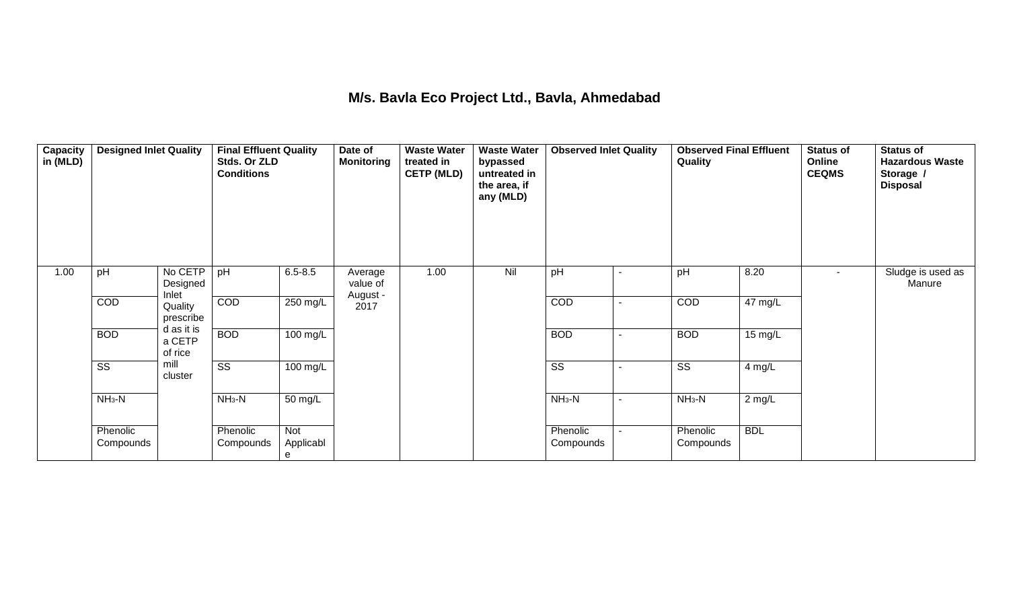## **M/s. Bavla Eco Project Ltd., Bavla, Ahmedabad**

| Capacity<br>in (MLD) | <b>Designed Inlet Quality</b> |                                 | <b>Final Effluent Quality</b><br>Stds. Or ZLD<br><b>Conditions</b> |                       | Date of<br><b>Monitoring</b> | <b>Waste Water</b><br>treated in<br><b>CETP (MLD)</b> | <b>Waste Water</b><br>bypassed<br>untreated in<br>the area, if<br>any (MLD) | <b>Observed Inlet Quality</b> |                          | <b>Observed Final Effluent</b><br>Quality |            | <b>Status of</b><br>Online<br><b>CEQMS</b> | <b>Status of</b><br><b>Hazardous Waste</b><br>Storage /<br><b>Disposal</b> |
|----------------------|-------------------------------|---------------------------------|--------------------------------------------------------------------|-----------------------|------------------------------|-------------------------------------------------------|-----------------------------------------------------------------------------|-------------------------------|--------------------------|-------------------------------------------|------------|--------------------------------------------|----------------------------------------------------------------------------|
| 1.00                 | pH                            | No CETP<br>Designed<br>Inlet    | pH                                                                 | $6.5 - 8.5$           | Average<br>value of          | 1.00                                                  | Nil                                                                         | pH                            | $\blacksquare$           | pH                                        | 8.20       | $\sim$                                     | Sludge is used as<br>Manure                                                |
|                      | COD                           | Quality<br>prescribe            | COD                                                                | $250$ mg/L            | August -<br>2017             |                                                       |                                                                             | COD                           | $\blacksquare$           | COD                                       | 47 mg/L    |                                            |                                                                            |
|                      | <b>BOD</b>                    | d as it is<br>a CETP<br>of rice | <b>BOD</b>                                                         | $100$ mg/L            |                              |                                                       |                                                                             | <b>BOD</b>                    | $\blacksquare$           | <b>BOD</b>                                | 15 mg/L    |                                            |                                                                            |
|                      | $\overline{\text{SS}}$        | mill<br>cluster                 | $\overline{\text{ss}}$                                             | $100$ mg/L            |                              |                                                       |                                                                             | $\overline{\text{ss}}$        | $\overline{\phantom{a}}$ | $\overline{\text{SS}}$                    | 4 mg/L     |                                            |                                                                            |
|                      | $NH3-N$                       |                                 | $NH3-N$                                                            | 50 mg/L               |                              |                                                       |                                                                             | $NH3-N$                       | $\sim$                   | $NH3-N$                                   | $2$ mg/L   |                                            |                                                                            |
|                      | Phenolic<br>Compounds         |                                 | Phenolic<br>Compounds                                              | Not<br>Applicabl<br>e |                              |                                                       |                                                                             | Phenolic<br>Compounds         | $\blacksquare$           | Phenolic<br>Compounds                     | <b>BDL</b> |                                            |                                                                            |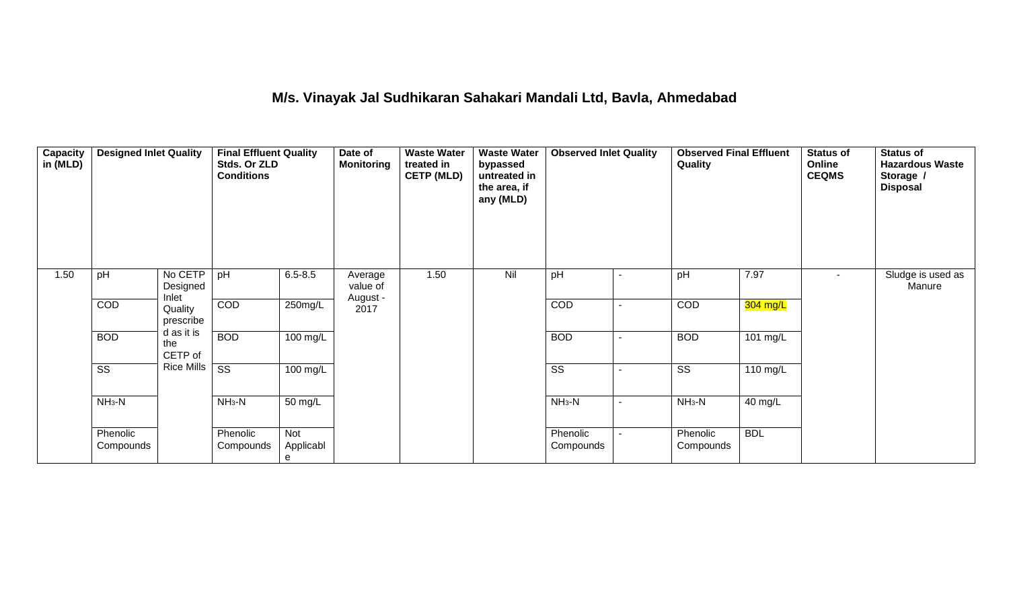## **M/s. Vinayak Jal Sudhikaran Sahakari Mandali Ltd, Bavla, Ahmedabad**

| <b>Capacity</b><br>in (MLD) | <b>Designed Inlet Quality</b> |                              | <b>Final Effluent Quality</b><br>Stds. Or ZLD<br><b>Conditions</b> |                       | Date of<br><b>Monitoring</b> | <b>Waste Water</b><br>treated in<br><b>CETP (MLD)</b> | <b>Waste Water</b><br>bypassed<br>untreated in<br>the area, if<br>any (MLD) | <b>Observed Inlet Quality</b> |                | <b>Observed Final Effluent</b><br>Quality |            | <b>Status of</b><br>Online<br><b>CEQMS</b> | <b>Status of</b><br><b>Hazardous Waste</b><br>Storage /<br><b>Disposal</b> |
|-----------------------------|-------------------------------|------------------------------|--------------------------------------------------------------------|-----------------------|------------------------------|-------------------------------------------------------|-----------------------------------------------------------------------------|-------------------------------|----------------|-------------------------------------------|------------|--------------------------------------------|----------------------------------------------------------------------------|
| 1.50                        | pH                            | No CETP<br>Designed<br>Inlet | pH                                                                 | $6.5 - 8.5$           | Average<br>value of          | 1.50                                                  | Nil                                                                         | pH                            | $\blacksquare$ | pH                                        | 7.97       | $\sim$                                     | Sludge is used as<br>Manure                                                |
|                             | COD                           | Quality<br>prescribe         | COD                                                                | 250mg/L               | August -<br>2017             |                                                       |                                                                             | COD                           | ٠              | COD                                       | $304$ mg/L |                                            |                                                                            |
|                             | <b>BOD</b>                    | d as it is<br>the<br>CETP of | <b>BOD</b>                                                         | 100 mg/L              |                              |                                                       |                                                                             | <b>BOD</b>                    | $\blacksquare$ | <b>BOD</b>                                | 101 mg/L   |                                            |                                                                            |
|                             | $\overline{\text{SS}}$        | <b>Rice Mills</b>            | $\overline{\text{ss}}$                                             | $100 \text{ mg/L}$    |                              |                                                       |                                                                             | $\overline{\text{SS}}$        | $\blacksquare$ | $\overline{\text{SS}}$                    | 110 mg/L   |                                            |                                                                            |
|                             | $NH3-N$                       |                              | $NH3-N$                                                            | 50 mg/L               |                              |                                                       |                                                                             | $NH3-N$                       | $\blacksquare$ | $NH3-N$                                   | 40 mg/L    |                                            |                                                                            |
|                             | Phenolic<br>Compounds         |                              | Phenolic<br>Compounds                                              | Not<br>Applicabl<br>е |                              |                                                       |                                                                             | Phenolic<br>Compounds         |                | Phenolic<br>Compounds                     | <b>BDL</b> |                                            |                                                                            |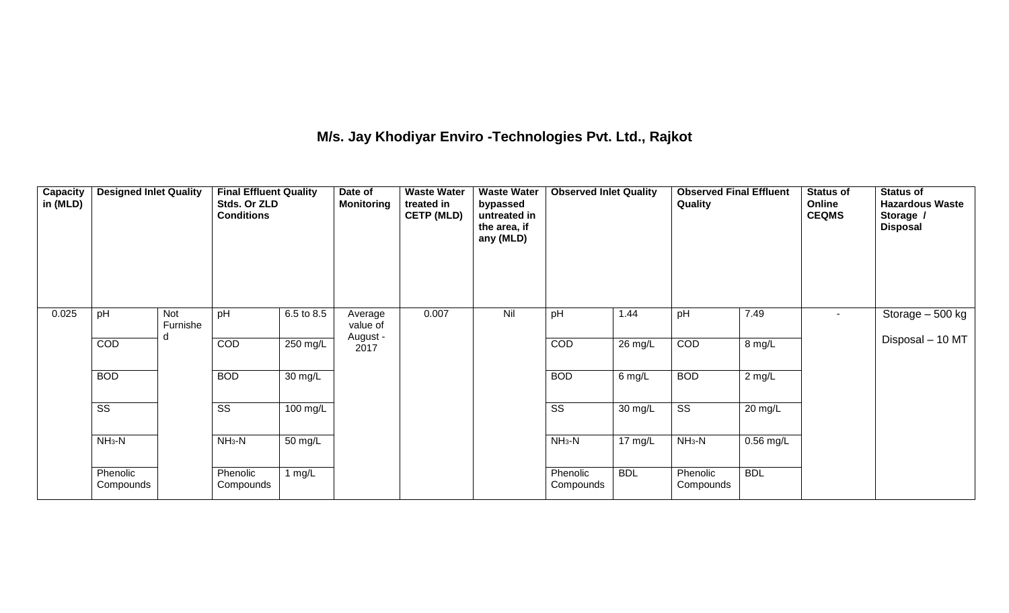## **M/s. Jay Khodiyar Enviro -Technologies Pvt. Ltd., Rajkot**

| Capacity<br>in (MLD) | <b>Designed Inlet Quality</b> |                 | <b>Final Effluent Quality</b><br>Stds. Or ZLD<br><b>Conditions</b> |                      | Date of<br><b>Monitoring</b> | <b>Waste Water</b><br>treated in<br><b>CETP (MLD)</b> | <b>Waste Water</b><br>bypassed<br>untreated in<br>the area, if<br>any (MLD) | <b>Observed Inlet Quality</b> |                   | Quality                |             | <b>Status of</b><br>Online<br><b>CEQMS</b> | <b>Status of</b><br><b>Hazardous Waste</b><br>Storage /<br><b>Disposal</b> |
|----------------------|-------------------------------|-----------------|--------------------------------------------------------------------|----------------------|------------------------------|-------------------------------------------------------|-----------------------------------------------------------------------------|-------------------------------|-------------------|------------------------|-------------|--------------------------------------------|----------------------------------------------------------------------------|
| 0.025                | pH                            | Not<br>Furnishe | pH                                                                 | 6.5 to 8.5           | Average<br>value of          | 0.007                                                 | Nil                                                                         | pH                            | 1.44              | pH                     | 7.49        | $\sim$                                     | Storage $-500$ kg                                                          |
|                      | <b>COD</b>                    |                 | COD                                                                | 250 mg/L             | August -<br>2017             |                                                       |                                                                             | COD                           | 26 mg/L           | COD                    | 8 mg/L      |                                            | Disposal - 10 MT                                                           |
|                      | <b>BOD</b>                    |                 | <b>BOD</b>                                                         | $\overline{30}$ mg/L |                              |                                                       |                                                                             | <b>BOD</b>                    | $6$ mg/L          | <b>BOD</b>             | $2$ mg/L    |                                            |                                                                            |
|                      | $\overline{\text{SS}}$        |                 | $\overline{\text{SS}}$                                             | 100 mg/L             |                              |                                                       |                                                                             | $\overline{\text{ss}}$        | 30 mg/L           | $\overline{\text{ss}}$ | 20 mg/L     |                                            |                                                                            |
|                      | $NH3-N$                       |                 | $NH3-N$                                                            | $\overline{50}$ mg/L |                              |                                                       |                                                                             | $NH3-N$                       | $17 \text{ mg/L}$ | $NH3-N$                | $0.56$ mg/L |                                            |                                                                            |
|                      | Phenolic<br>Compounds         |                 | Phenolic<br>Compounds                                              | 1 $mg/L$             |                              |                                                       |                                                                             | Phenolic<br>Compounds         | <b>BDL</b>        | Phenolic<br>Compounds  | <b>BDL</b>  |                                            |                                                                            |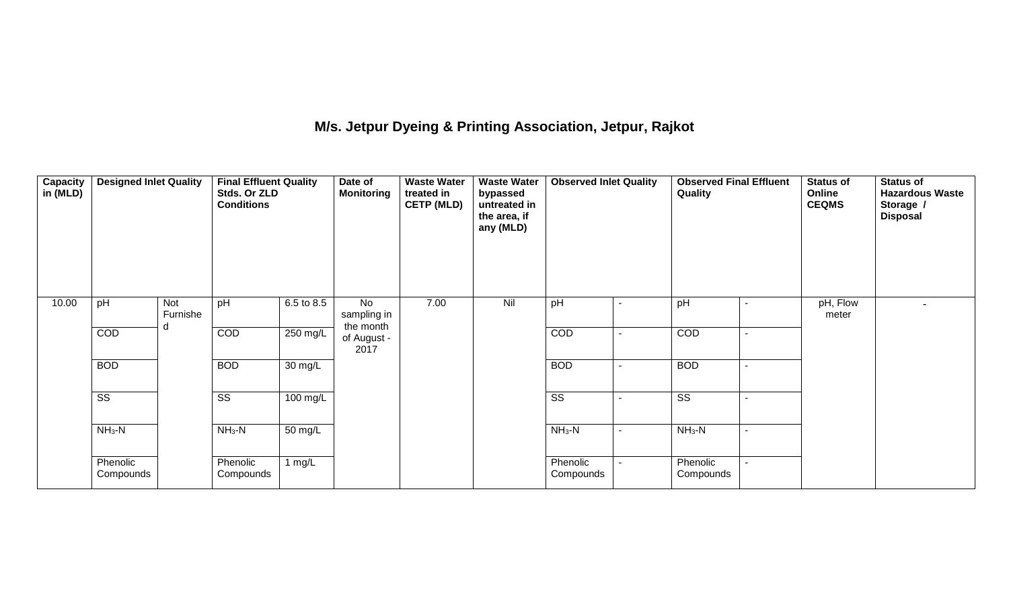## **M/s. Jetpur Dyeing & Printing Association, Jetpur, Rajkot**

| <b>Capacity</b><br>in (MLD) | <b>Designed Inlet Quality</b> |                 | <b>Final Effluent Quality</b><br>Stds. Or ZLD<br><b>Conditions</b> |                      | Date of<br><b>Monitoring</b>   | <b>Waste Water</b><br>treated in<br><b>CETP (MLD)</b> | <b>Waste Water</b><br>bypassed<br>untreated in<br>the area, if<br>any (MLD) | <b>Observed Inlet Quality</b> |  | <b>Observed Final Effluent</b><br>Quality |                | <b>Status of</b><br>Online<br><b>CEQMS</b> | <b>Status of</b><br><b>Hazardous Waste</b><br>Storage /<br><b>Disposal</b> |
|-----------------------------|-------------------------------|-----------------|--------------------------------------------------------------------|----------------------|--------------------------------|-------------------------------------------------------|-----------------------------------------------------------------------------|-------------------------------|--|-------------------------------------------|----------------|--------------------------------------------|----------------------------------------------------------------------------|
| 10.00                       | pH                            | Not<br>Furnishe | pH                                                                 | 6.5 to 8.5           | No<br>sampling in<br>the month | 7.00                                                  | Nil                                                                         | pH                            |  | pH                                        | $\blacksquare$ | pH, Flow<br>meter                          |                                                                            |
|                             | COD                           | d               | COD                                                                | 250 mg/L             | of August -<br>2017            |                                                       |                                                                             | COD                           |  | COD                                       | $\sim$         |                                            |                                                                            |
|                             | <b>BOD</b>                    |                 | <b>BOD</b>                                                         | $\overline{30}$ mg/L |                                |                                                       |                                                                             | <b>BOD</b>                    |  | <b>BOD</b>                                | $\blacksquare$ |                                            |                                                                            |
|                             | $\overline{\text{ss}}$        |                 | $\overline{\text{SS}}$                                             | 100 mg/L             |                                |                                                       |                                                                             | $\overline{\text{ss}}$        |  | $\overline{\text{ss}}$                    | $\sim$         |                                            |                                                                            |
|                             | $NH3-N$                       |                 | $NH3-N$                                                            | 50 mg/L              |                                |                                                       |                                                                             | $NH_3-N$                      |  | $NH3-N$                                   | $\blacksquare$ |                                            |                                                                            |
|                             | Phenolic<br>Compounds         |                 | Phenolic<br>Compounds                                              | 1 $mg/L$             |                                |                                                       |                                                                             | Phenolic<br>Compounds         |  | Phenolic<br>Compounds                     |                |                                            |                                                                            |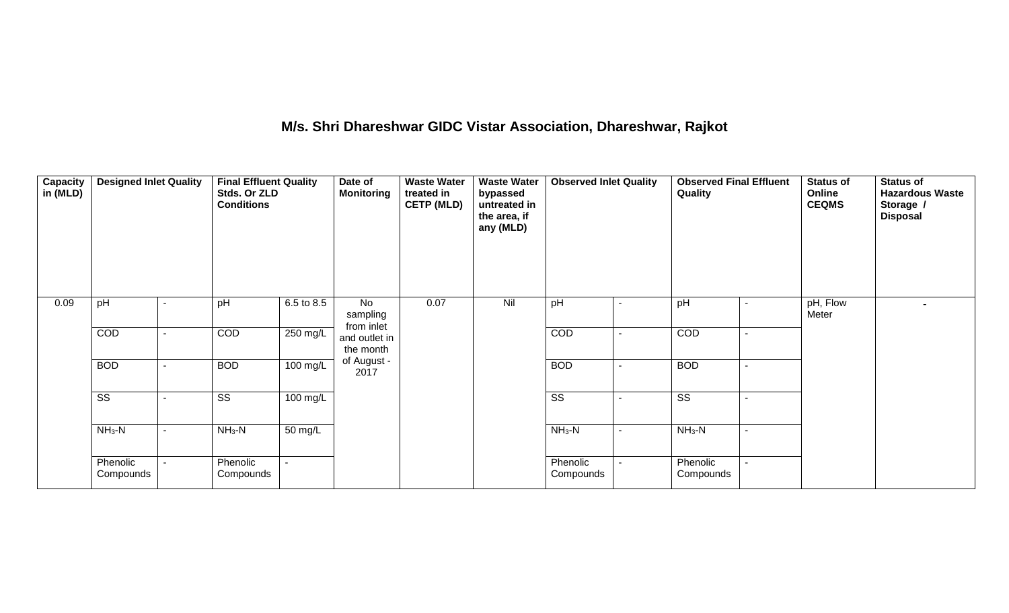## **M/s. Shri Dhareshwar GIDC Vistar Association, Dhareshwar, Rajkot**

| Capacity<br>in (MLD) | <b>Designed Inlet Quality</b> |   | <b>Final Effluent Quality</b><br>Stds. Or ZLD<br><b>Conditions</b> |                      | Date of<br><b>Monitoring</b>                      | <b>Waste Water</b><br>treated in<br><b>CETP (MLD)</b> | <b>Waste Water</b><br>bypassed<br>untreated in<br>the area, if<br>any (MLD) | <b>Observed Inlet Quality</b> |  | <b>Observed Final Effluent</b><br>Quality |  | <b>Status of</b><br>Online<br><b>CEQMS</b> | <b>Status of</b><br><b>Hazardous Waste</b><br>Storage /<br><b>Disposal</b> |
|----------------------|-------------------------------|---|--------------------------------------------------------------------|----------------------|---------------------------------------------------|-------------------------------------------------------|-----------------------------------------------------------------------------|-------------------------------|--|-------------------------------------------|--|--------------------------------------------|----------------------------------------------------------------------------|
| 0.09                 | pH                            |   | pH                                                                 | 6.5 to 8.5           | No<br>sampling<br>from inlet                      | 0.07                                                  | Nil                                                                         | pH                            |  | pH                                        |  | pH, Flow<br>Meter                          |                                                                            |
|                      | COD                           | ۰ | COD                                                                | 250 mg/L             | and outlet in<br>the month<br>of August -<br>2017 |                                                       |                                                                             | <b>COD</b>                    |  | COD                                       |  |                                            |                                                                            |
|                      | <b>BOD</b>                    |   | <b>BOD</b>                                                         | 100 mg/L             |                                                   |                                                       |                                                                             | <b>BOD</b>                    |  | <b>BOD</b>                                |  |                                            |                                                                            |
|                      | $\overline{\text{ss}}$        |   | $\overline{\text{SS}}$                                             | 100 mg/L             |                                                   |                                                       |                                                                             | $\overline{\text{ss}}$        |  | $\overline{\text{SS}}$                    |  |                                            |                                                                            |
|                      | $NH3-N$                       |   | $NH3-N$                                                            | $\overline{50}$ mg/L |                                                   |                                                       |                                                                             | $NH_3-N$                      |  | $NH3-N$                                   |  |                                            |                                                                            |
|                      | Phenolic<br>Compounds         |   | Phenolic<br>Compounds                                              |                      |                                                   |                                                       |                                                                             | Phenolic<br>Compounds         |  | Phenolic<br>Compounds                     |  |                                            |                                                                            |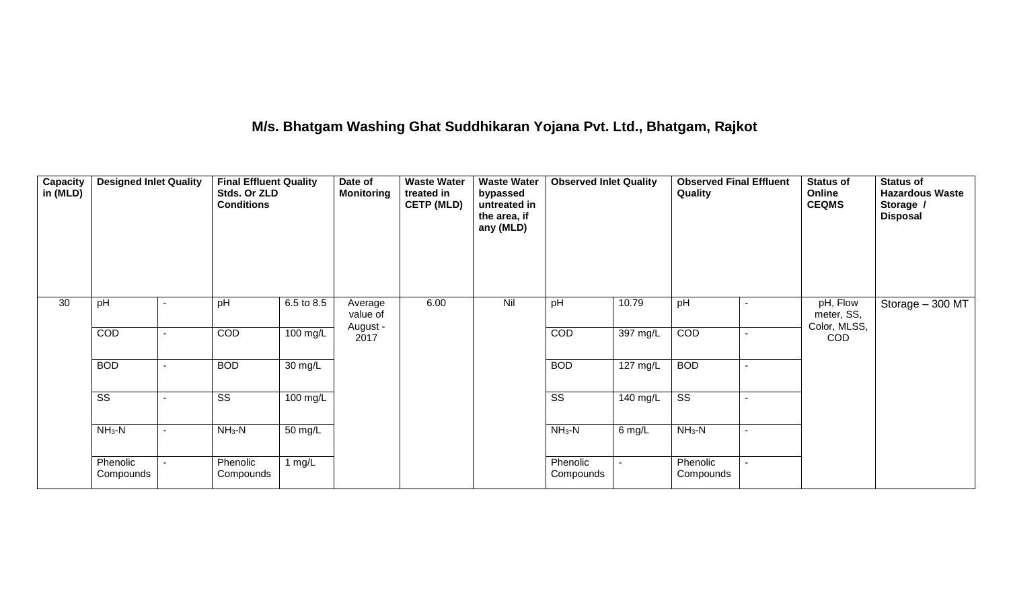## **M/s. Bhatgam Washing Ghat Suddhikaran Yojana Pvt. Ltd., Bhatgam, Rajkot**

| Capacity<br>in (MLD) | <b>Designed Inlet Quality</b> |  | <b>Final Effluent Quality</b><br>Stds. Or ZLD<br><b>Conditions</b> |                      | Date of<br><b>Monitoring</b> | <b>Waste Water</b><br>treated in<br><b>CETP (MLD)</b> | <b>Waste Water</b><br>bypassed<br>untreated in<br>the area, if<br>any (MLD) | <b>Observed Inlet Quality</b> |                    | <b>Observed Final Effluent</b><br>Quality |  | <b>Status of</b><br>Online<br><b>CEQMS</b> | <b>Status of</b><br><b>Hazardous Waste</b><br>Storage /<br><b>Disposal</b> |
|----------------------|-------------------------------|--|--------------------------------------------------------------------|----------------------|------------------------------|-------------------------------------------------------|-----------------------------------------------------------------------------|-------------------------------|--------------------|-------------------------------------------|--|--------------------------------------------|----------------------------------------------------------------------------|
| 30                   | pH                            |  | pH                                                                 | 6.5 to 8.5           | Average<br>value of          | 6.00                                                  | Nil                                                                         | pH                            | 10.79              | pH                                        |  | pH, Flow<br>meter, SS,<br>Color, MLSS,     | Storage - 300 MT                                                           |
|                      | COD                           |  | COD                                                                | 100 mg/L             | August -<br>2017             |                                                       |                                                                             | COD                           | $397 \text{ mg/L}$ | COD                                       |  | <b>COD</b>                                 |                                                                            |
|                      | <b>BOD</b>                    |  | <b>BOD</b>                                                         | $\overline{30}$ mg/L |                              |                                                       |                                                                             | <b>BOD</b>                    | $127 \text{ mg/L}$ | <b>BOD</b>                                |  |                                            |                                                                            |
|                      | $\overline{\text{ss}}$        |  | $\overline{\text{SS}}$                                             | $100 \text{ mg/L}$   |                              |                                                       |                                                                             | $\overline{\text{ss}}$        | 140 mg/L           | $\overline{\text{ss}}$                    |  |                                            |                                                                            |
|                      | $NH3-N$                       |  | $NH3-N$                                                            | $\frac{1}{50}$ mg/L  |                              |                                                       |                                                                             | $NH_3-N$                      | 6 mg/L             | $NH3-N$                                   |  |                                            |                                                                            |
|                      | Phenolic<br>Compounds         |  | Phenolic<br>Compounds                                              | 1 $mg/L$             |                              |                                                       |                                                                             | Phenolic<br>Compounds         |                    | Phenolic<br>Compounds                     |  |                                            |                                                                            |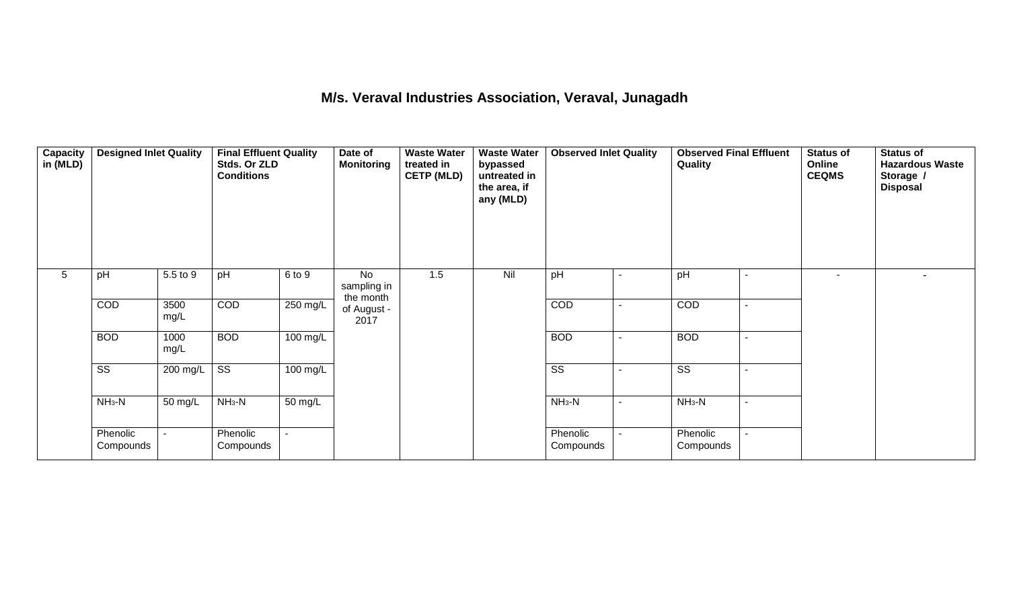#### **M/s. Veraval Industries Association, Veraval, Junagadh**

| Capacity<br>in (MLD) | <b>Designed Inlet Quality</b> |              | <b>Final Effluent Quality</b><br>Stds. Or ZLD<br><b>Conditions</b> |          | Date of<br><b>Monitoring</b>   | <b>Waste Water</b><br>treated in<br><b>CETP (MLD)</b> | <b>Waste Water</b><br>bypassed<br>untreated in<br>the area, if<br>any (MLD) | <b>Observed Inlet Quality</b> |                          | Quality                |        | Status of<br>Online<br><b>CEQMS</b> | <b>Status of</b><br><b>Hazardous Waste</b><br>Storage /<br><b>Disposal</b> |
|----------------------|-------------------------------|--------------|--------------------------------------------------------------------|----------|--------------------------------|-------------------------------------------------------|-----------------------------------------------------------------------------|-------------------------------|--------------------------|------------------------|--------|-------------------------------------|----------------------------------------------------------------------------|
| $5\phantom{.0}$      | pH                            | 5.5 to 9     | pH                                                                 | 6 to 9   | No<br>sampling in<br>the month | 1.5                                                   | Nil                                                                         | pH                            |                          | pH                     |        | $\sim$                              |                                                                            |
|                      | COD                           | 3500<br>mg/L | COD                                                                | 250 mg/L | of August -<br>2017            |                                                       |                                                                             | COD                           | $\blacksquare$           | COD                    |        |                                     |                                                                            |
|                      | <b>BOD</b>                    | 1000<br>mg/L | <b>BOD</b>                                                         | 100 mg/L |                                |                                                       |                                                                             | <b>BOD</b>                    | $\overline{\phantom{a}}$ | <b>BOD</b>             | $\sim$ |                                     |                                                                            |
|                      | $\overline{\text{ss}}$        | 200 mg/L     | $\overline{\text{ss}}$                                             | 100 mg/L |                                |                                                       |                                                                             | $\overline{\text{ss}}$        |                          | $\overline{\text{ss}}$ |        |                                     |                                                                            |
|                      | $NH3-N$                       | 50 mg/L      | $NH3-N$                                                            | 50 mg/L  |                                |                                                       |                                                                             | $NH_3-N$                      | $\overline{\phantom{a}}$ | $NH3-N$                |        |                                     |                                                                            |
|                      | Phenolic<br>Compounds         |              | Phenolic<br>Compounds                                              |          |                                |                                                       |                                                                             | Phenolic<br>Compounds         |                          | Phenolic<br>Compounds  |        |                                     |                                                                            |